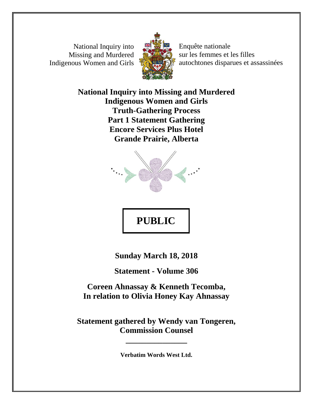National Inquiry into Missing and Murdered Indigenous Women and Girls



Enquête nationale sur les femmes et les filles autochtones disparues et assassinées

**National Inquiry into Missing and Murdered Indigenous Women and Girls Truth-Gathering Process Part 1 Statement Gathering Encore Services Plus Hotel Grande Prairie, Alberta**



# **PUBLIC**

**Sunday March 18, 2018**

**Statement - Volume 306**

**Coreen Ahnassay & Kenneth Tecomba, In relation to Olivia Honey Kay Ahnassay**

**Statement gathered by Wendy van Tongeren, Commission Counsel**

**Verbatim Words West Ltd.**

**\_\_\_\_\_\_\_\_\_\_\_\_\_\_\_**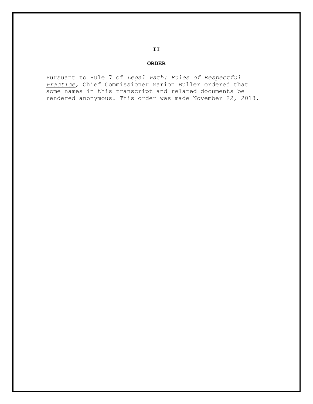#### **ORDER**

Pursuant to Rule 7 of *Legal Path: Rules of Respectful Practice*, Chief Commissioner Marion Buller ordered that some names in this transcript and related documents be rendered anonymous. This order was made November 22, 2018.

#### **II**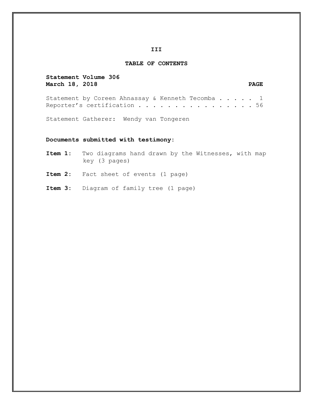#### **III**

#### **TABLE OF CONTENTS**

**Statement Volume 306 March 18, 2018 PAGE**

Statement by Coreen Ahnassay & Kenneth Tecomba . . . . 1 Reporter's certification . . . . . . . . . . . . . . . 56

Statement Gatherer: Wendy van Tongeren

#### **Documents submitted with testimony:**

**Item 1:** Two diagrams hand drawn by the Witnesses, with map key (3 pages)

**Item 2:** Fact sheet of events (1 page)

**Item 3:** Diagram of family tree (1 page)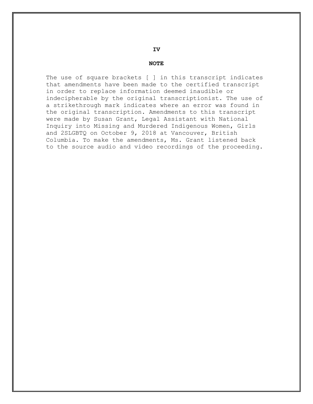**IV**

#### **NOTE**

The use of square brackets [ ] in this transcript indicates that amendments have been made to the certified transcript in order to replace information deemed inaudible or indecipherable by the original transcriptionist. The use of a strikethrough mark indicates where an error was found in the original transcription. Amendments to this transcript were made by Susan Grant, Legal Assistant with National Inquiry into Missing and Murdered Indigenous Women, Girls and 2SLGBTQ on October 9, 2018 at Vancouver, British Columbia. To make the amendments, Ms. Grant listened back to the source audio and video recordings of the proceeding.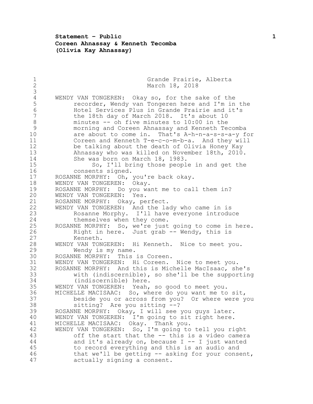#### **Statement – Public 1 Coreen Ahnassay & Kenneth Tecomba (Olivia Kay Ahnassay)**

1 Grande Prairie, Alberta<br>2 March 18, 2018 March 18, 2018 4 WENDY VAN TONGEREN: Okay so, for the sake of the<br>5 cecorder, Wendy van Tongeren here and I'm in 5 recorder, Wendy van Tongeren here and I'm in the<br>6 Hotel Services Plus in Grande Prairie and it's Hotel Services Plus in Grande Prairie and it's the 18th day of March 2018. It's about 10 minutes -- oh five minutes to 10:00 in the morning and Coreen Ahnassay and Kenneth Tecomba are about to come in. That's A-h-n-a-s-s-a-y for Coreen and Kenneth T-e-c-o-m-b-a. And they will be talking about the death of Olivia Honey Kay Ahnassay who was killed on November 18th, 2010. She was born on March 18, 1983. So, I'll bring those people in and get the consents signed. ROSANNE MORPHY: Oh, you're back okay. WENDY VAN TONGEREN: Okay. ROSANNE MORPHY: Do you want me to call them in? WENDY VAN TONGEREN: Yes. 21 ROSANNE MORPHY: Okay, perfect.<br>22 WENDY VAN TONGEREN: And the la WENDY VAN TONGEREN: And the lady who came in is Rosanne Morphy. I'll have everyone introduce themselves when they come. ROSANNE MORPHY: So, we're just going to come in here. Right in here. Just grab -- Wendy, this is Kenneth. WENDY VAN TONGEREN: Hi Kenneth. Nice to meet you. Wendy is my name. ROSANNE MORPHY: This is Coreen. WENDY VAN TONGEREN: Hi Coreen. Nice to meet you. ROSANNE MORPHY: And this is Michelle MacIsaac, she's with (indiscernible), so she'll be the supporting (indiscernible) here. WENDY VAN TONGEREN: Yeah, so good to meet you. MICHELLE MACISAAC: So, where do you want me to sit, beside you or across from you? Or where were you sitting? Are you sitting --? ROSANNE MORPHY: Okay, I will see you guys later. WENDY VAN TONGEREN: I'm going to sit right here. MICHELLE MACISAAC: Okay. Thank you. WENDY VAN TONGEREN: So, I'm going to tell you right off the start that the -- this is a video camera and it's already on, because I -- I just wanted to record everything and this is an audio and that we'll be getting -- asking for your consent, actually signing a consent.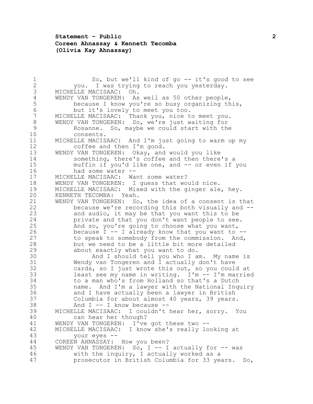## **Statement – Public 2 Coreen Ahnassay & Kenneth Tecomba (Olivia Kay Ahnassay)**

1 So, but we'll kind of go -- it's good to see<br>2 vou. I was trving to reach you vesterday. you. I was trying to reach you yesterday. MICHELLE MACISAAC: Oh. 4 WENDY VAN TONGEREN: As well as 50 other people,<br>5 because I know you're so busy organizing th 5 because I know you're so busy organizing this,<br>6 but it's lovely to meet you too. but it's lovely to meet you too. MICHELLE MACISAAC: Thank you, nice to meet you. WENDY VAN TONGEREN: So, we're just waiting for Rosanne. So, maybe we could start with the consents. MICHELLE MACISAAC: And I'm just going to warm up my coffee and then I'm good. WENDY VAN TONGEREN: Okay, and would you like something, there's coffee and then there's a muffin if you'd like one, and -- or even if you had some water -- MICHELLE MACISAAC: Want some water? WENDY VAN TONGEREN: I guess that would nice. MICHELLE MACISAAC: Mixed with the ginger ale, hey. KENNETH TECOMBA: Yeah. WENDY VAN TONGEREN: So, the idea of a consent is that because we're recording this both visually and -- and audio, it may be that you want this to be private and that you don't want people to see. And so, you're going to choose what you want, because I -- I already know that you want to -- to speak to somebody from the commission. And, but we need to be a little bit more detailed about exactly what you want to do. And I should tell you who I am. My name is Wendy van Tongeren and I actually don't have cards, so I just wrote this out, so you could at 33 least see my name in writing.  $I'm - I'm$  married 34 to a man who's from Holland so that's a Dutch to a man who's from Holland so that's a Dutch name. And I'm a lawyer with the National Inquiry and I have actually been a lawyer in British Columbia for about almost 40 years, 39 years. And I -- I know because -- MICHELLE MACISAAC: I couldn't hear her, sorry. You can hear her though? WENDY VAN TONGEREN: I've got these two -- MICHELLE MACISAAC: I know she's really looking at your eyes -- COREEN AHNASSAY: How you been? 45 WENDY VAN TONGEREN: So, I -- I actually for -- was with the inquiry, I actually worked as a prosecutor in British Columbia for 33 years. So,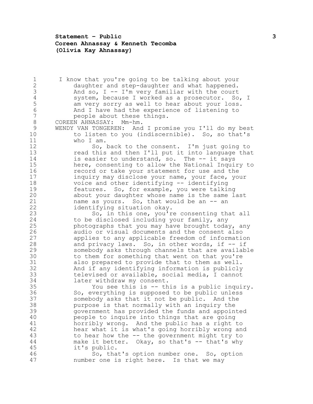**Statement – Public 3 Coreen Ahnassay & Kenneth Tecomba (Olivia Kay Ahnassay)**

1 I know that you're going to be talking about your<br>2 daughter and step-daughter and what happened. 2 daughter and step-daughter and what happened.<br>3 And so, I -- I'm very familiar with the court And so,  $I$  -- I'm very familiar with the court 4 system, because I worked as a prosecutor. So, I<br>5 am very sorry as well to hear about your loss. 5 am very sorry as well to hear about your loss.<br>6 And I have had the experience of listening to 6 6 And I have had the experience of listening to<br>7 beople about these things. people about these things. COREEN AHNASSAY: Mm-hm. WENDY VAN TONGEREN: And I promise you I'll do my best to listen to you (indiscernible). So, so that's who I am. 12 So, back to the consent. I'm just going to read this and then I'll put it into language that 14 is easier to understand, so. The -- it says here, consenting to allow the National Inquiry to record or take your statement for use and the inquiry may disclose your name, your face, your voice and other identifying -- identifying features. So, for example, you were talking about your daughter whose name is the same last 21 name as yours. So, that would be an -- an 22 identifying situation okay. So, in this one, you're consenting that all to be disclosed including your family, any photographs that you may have brought today, any audio or visual documents and the consent also applies to any applicable freedom of information and privacy laws. So, in other words, if -- if somebody asks through channels that are available to them for something that went on that you're also prepared to provide that to them as well. And if any identifying information is publicly 33 televised or available, social media, I cannot<br>34 later withdraw my consent. later withdraw my consent. You see this is -- this is a public inquiry. So, everything is supposed to be public unless somebody asks that it not be public. And the purpose is that normally with an inquiry the government has provided the funds and appointed people to inquire into things that are going horribly wrong. And the public has a right to hear what it is what's going horribly wrong and to hear how the -- the government might try to 44 make it better. Okay, so that's -- that's why it's public. So, that's option number one. So, option number one is right here. Is that we may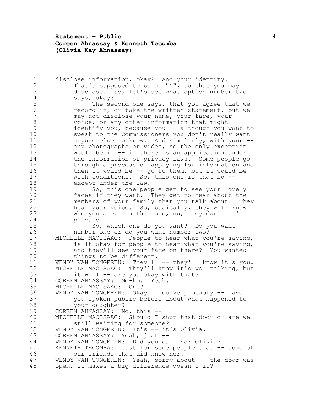**Statement – Public 4 Coreen Ahnassay & Kenneth Tecomba (Olivia Kay Ahnassay)**

1 disclose information, okay? And your identity.<br>2 That's supposed to be an "N", so that you: That's supposed to be an "N", so that you may disclose. So, let's see what option number two 4 says, okay?<br>5 The sec 5 The second one says, that you agree that we<br>6 The cord it, or take the written statement, but we 6 record it, or take the written statement, but we<br>7 may not disclose your name, your face, your may not disclose your name, your face, your voice, or any other information that might identify you, because you -- although you want to speak to the Commissioners you don't really want anyone else to know. And similarly, with your -- any photographs or video, so the only exception would be in -- if there is an application under the information of privacy laws. Some people go through a process of applying for information and then it would be -- go to them, but it would be with conditions. So, this one is that no -- except under the law. So, this one people get to see your lovely faces if they want. They get to hear about the members of your family that you talk about. They hear your voice. So, basically, they will know who you are. In this one, no, they don't it's private. So, which one do you want? Do you want number one or do you want number two? MICHELLE MACISAAC: People to hear what you're saying, is it okay for people to hear what you're saying, and they'll see your face on there? You wanted things to be different. 31 WENDY VAN TONGEREN: They'll -- they'll know it's you. MICHELLE MACISAAC: They'll know it's you talking, but 33 it will -- are you okay with that?<br>34 COREEN AHNASSAY: Mm-hm. Yeah. COREEN AHNASSAY: Mm-hm. Yeah. MICHELLE MACISAAC: One? WENDY VAN TONGEREN: Okay. You've probably -- have you spoken public before about what happened to your daughter? COREEN AHNASSAY: No, this -- MICHELLE MACISAAC: Should I shut that door or are we still waiting for someone? 42 WENDY VAN TONGEREN: It's -- it's Olivia. COREEN AHNASSAY: Yeah, just -- WENDY VAN TONGEREN: Did you call her Olivia? 45 KENNETH TECOMBA: Just for some people that -- some of our friends that did know her. WENDY VAN TONGEREN: Yeah, sorry about -- the door was open, it makes a big difference doesn't it?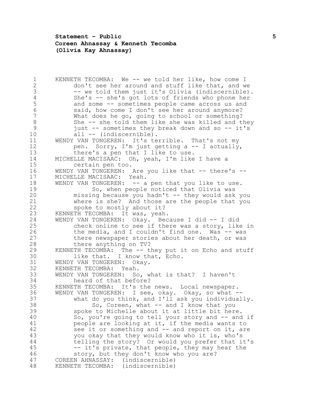**Statement – Public 5 Coreen Ahnassay & Kenneth Tecomba (Olivia Kay Ahnassay)**

1 KENNETH TECOMBA: We -- we told her like, how come I<br>2 don't see her around and stuff like that, and we don't see her around and stuff like that, and we -- we told them just it's Olivia (indiscernible). 4 She's -- she's got lots of friends who phone her<br>5 and some -- sometimes people came across us and 5 and some -- sometimes people came across us and<br>6 said, how come I don't see her around anymore? 6 said, how come I don't see her around anymore?<br>7 What does he go, going to school or something? What does he go, going to school or something? She -- she told them like she was killed and they just -- sometimes they break down and so -- it's all -- (indiscernible). WENDY VAN TONGEREN: It's terrible. That's not my pen. Sorry, I'm just getting a -- I actually, there's a pen that I like to use. MICHELLE MACISAAC: Oh, yeah, I'm like I have a certain pen too. WENDY VAN TONGEREN: Are you like that -- there's -- MICHELLE MACISAAC: Yeah. 18 WENDY VAN TONGEREN: -- a pen that you like to use. So, when people noticed that Olivia was missing because you hadn't -- they would ask you where is she? And those are the people that you spoke to mostly about it? KENNETH TECOMBA: It was, yeah. WENDY VAN TONGEREN: Okay. Because I did -- I did check online to see if there was a story, like in 26 the media, and I couldn't find one. Was -- was there newspaper stories about her death, or was there anything on TV? KENNETH TECOMBA: The -- they put it on Echo and stuff like that. I know that, Echo. WENDY VAN TONGEREN: Okay. KENNETH TECOMBA: Yeah. 33 WENDY VAN TONGEREN: So, what is that? I haven't<br>34 heard of that before? heard of that before? KENNETH TECOMBA: It's the news. Local newspaper. WENDY VAN TONGEREN: I see, okay. Okay, so what -- what do you think, and I'll ask you individually. 38 So, Coreen, what -- and I know that you spoke to Michelle about it at little bit here. So, you're going to tell your story and -- and if people are looking at it, if the media wants to see it or something and -- and report on it, are you okay that they would know who it is, who's telling the story? Or would you prefer that it's -- it's private, that people, they may hear the story, but they don't know who you are? COREEN AHNASSAY: (indiscernible) KENNETH TECOMBA: (indiscernible)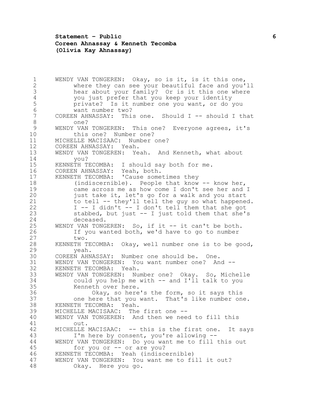**Statement – Public 6 Coreen Ahnassay & Kenneth Tecomba (Olivia Kay Ahnassay)**

 WENDY VAN TONGEREN: Okay, so is it, is it this one, where they can see your beautiful face and you'll hear about your family? Or is it this one where 4 you just prefer that you keep your identity<br>5 brivate? Is it number one you want, or do private? Is it number one you want, or do you 6 want number two?<br>7 COREEN AHNASSAY: Thi. COREEN AHNASSAY: This one. Should I -- should I that one? WENDY VAN TONGEREN: This one? Everyone agrees, it's this one? Number one? MICHELLE MACISAAC: Number one? COREEN AHNASSAY: Yeah. WENDY VAN TONGEREN: Yeah. And Kenneth, what about you? KENNETH TECOMBA: I should say both for me. COREEN AHNASSAY: Yeah, both. KENNETH TECOMBA: 'Cause sometimes they 18 (indiscernible). People that know -- know her, came across me as how come I don't see her and I just take it, let's go for a walk and you start to tell -- they'll tell the guy so what happened. I -- I didn't -- I don't tell them that she got stabbed, but just -- I just told them that she's deceased. WENDY VAN TONGEREN: So, if it -- it can't be both. If you wanted both, we'd have to go to number two. KENNETH TECOMBA: Okay, well number one is to be good, yeah. COREEN AHNASSAY: Number one should be. One. WENDY VAN TONGEREN: You want number one? And -- KENNETH TECOMBA: Yeah. 33 WENDY VAN TONGEREN: Number one? Okay. So, Michelle<br>34 could you help me with -- and I'll talk to you could you help me with -- and I'll talk to you Kenneth over here. Okay, so here's the form, so it says this one here that you want. That's like number one. KENNETH TECOMBA: Yeah. MICHELLE MACISAAC: The first one -- WENDY VAN TONGEREN: And then we need to fill this out. MICHELLE MACISAAC: -- this is the first one. It says I'm here by consent, you're allowing -- WENDY VAN TONGEREN: Do you want me to fill this out for you or -- or are you? KENNETH TECOMBA: Yeah (indiscernible) WENDY VAN TONGEREN: You want me to fill it out? Okay. Here you go.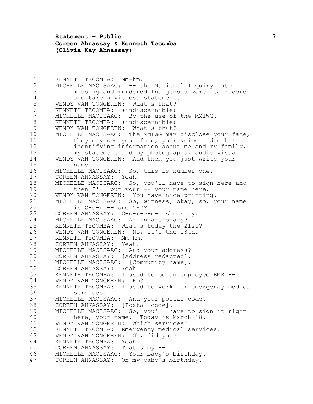**Statement – Public 7 Coreen Ahnassay & Kenneth Tecomba (Olivia Kay Ahnassay)**

 KENNETH TECOMBA: Mm-hm. MICHELLE MACISAAC: -- the National Inquiry into missing and murdered Indigenous women to record 4 and take a witness statement.<br>5 WENDY VAN TONGEREN: What's that? 5 WENDY VAN TONGEREN: What's that?<br>6 KENNETH TECOMBA: (indiscernible) KENNETH TECOMBA: (indiscernible) MICHELLE MACISAAC: By the use of the MMIWG. KENNETH TECOMBA: (indiscernible) WENDY VAN TONGEREN: What's that? MICHELLE MACISAAC: The MMIWG may disclose your face, they may see your face, your voice and other identifying information about me and my family, my statement and my photographs, audio visual. WENDY VAN TONGEREN: And then you just write your name. MICHELLE MACISAAC: So, this is number one. COREEN AHNASSAY: Yeah. MICHELLE MACISAAC: So, you'll have to sign here and 19 then I'll put your -- your name here. WENDY VAN TONGEREN: You have nice printing. 21 MICHELLE MACISAAC: So, witness, okay, so, your name<br>22 is C-o-r -- one "R"? 22 is C-o-r -- one "R"?<br>23 COREEN AHNASSAY: C-o-r-e COREEN AHNASSAY: C-o-r-e-e-n Ahnassay. MICHELLE MACISAAC: A-h-n-a-s-s-a-y? KENNETH TECOMBA: What's today the 21st? WENDY VAN TONGEREN: No, it's the 18th. KENNETH TECOMBA: Mm-hm. COREEN AHNASSAY: Yeah. MICHELLE MACISAAC: And your address? COREEN AHNASSAY: [Address redacted]. MICHELLE MACISAAC: [Community name]. COREEN AHNASSAY: Yeah. KENNETH TECOMBA: I used to be an employee EMR -- 34 WENDY VAN TONGEREN: Hm?<br>35 KENNETH TECOMBA: I used KENNETH TECOMBA: I used to work for emergency medical services. MICHELLE MACISAAC: And your postal code? COREEN AHNASSAY: [Postal code]. MICHELLE MACISAAC: So, you'll have to sign it right here, your name. Today is March 18. WENDY VAN TONGEREN: Which services? KENNETH TECOMBA: Emergency medical services. WENDY VAN TONGEREN: Oh, did you? KENNETH TECOMBA: Yeah. COREEN AHNASSAY: That's my -- MICHELLE MACISAAC: Your baby's birthday. COREEN AHNASSAY: On my baby's birthday.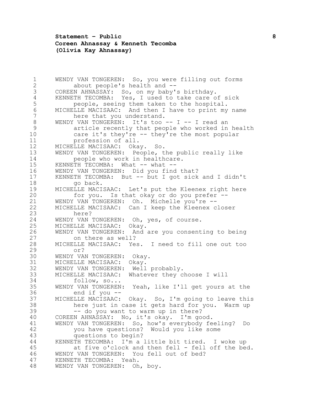**Statement – Public 8 Coreen Ahnassay & Kenneth Tecomba (Olivia Kay Ahnassay)**

1 WENDY VAN TONGEREN: So, you were filling out forms<br>2 about people's health and -about people's health and -- COREEN AHNASSAY: So, on my baby's birthday. 4 KENNETH TECOMBA: Yes, I used to take care of sick<br>5 beople, seeing them taken to the hospital. 5 people, seeing them taken to the hospital.<br>6 MICHELLE MACISAAC: And then I have to print my 6 MICHELLE MACISAAC: And then I have to print my name<br>7 here that you understand. here that you understand. WENDY VAN TONGEREN: It's too -- I -- I read an article recently that people who worked in health care it's they're -- they're the most popular profession of all. MICHELLE MACISAAC: Okay. So. WENDY VAN TONGEREN: People, the public really like people who work in healthcare. 15 KENNETH TECOMBA: What -- what -- WENDY VAN TONGEREN: Did you find that? KENNETH TECOMBA: But -- but I got sick and I didn't 18 go back. MICHELLE MACISAAC: Let's put the Kleenex right here for you. Is that okay or do you prefer -- 21 WENDY VAN TONGEREN: Oh. Michelle you're --<br>22 MICHELLE MACISAAC: Can I keep the Kleenex c MICHELLE MACISAAC: Can I keep the Kleenex closer here? WENDY VAN TONGEREN: Oh, yes, of course. MICHELLE MACISAAC: Okay. WENDY VAN TONGEREN: And are you consenting to being on there as well? MICHELLE MACISAAC: Yes. I need to fill one out too or? WENDY VAN TONGEREN: Okay. MICHELLE MACISAAC: Okay. WENDY VAN TONGEREN: Well probably. 33 MICHELLE MACISAAC: Whatever they choose I will<br>34 follow, so... 34 follow, so...<br>35 WENDY VAN TONGEREN WENDY VAN TONGEREN: Yeah, like I'll get yours at the end if you -- MICHELLE MACISAAC: Okay. So, I'm going to leave this here just in case it gets hard for you. Warm up -- do you want to warm up in there? COREEN AHNASSAY: No, it's okay. I'm good. WENDY VAN TONGEREN: So, how's everybody feeling? Do you have questions? Would you like some questions to begin? KENNETH TECOMBA: I'm a little bit tired. I woke up 45 at five o'clock and then fell - fell off the bed. WENDY VAN TONGEREN: You fell out of bed? KENNETH TECOMBA: Yeah. WENDY VAN TONGEREN: Oh, boy.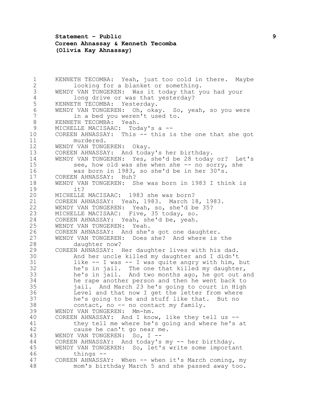**Statement – Public 9 Coreen Ahnassay & Kenneth Tecomba (Olivia Kay Ahnassay)**

 KENNETH TECOMBA: Yeah, just too cold in there. Maybe looking for a blanket or something. WENDY VAN TONGEREN: Was it today that you had your 4 long drive or was that yesterday?<br>5 KENNETH TECOMBA: Yesterday. 5 KENNETH TECOMBA: Yesterday.<br>6 WENDY VAN TONGEREN: Oh, oka 6 WENDY VAN TONGEREN: Oh, okay. So, yeah, so you were<br>7 in a bed vou weren't used to. in a bed you weren't used to. KENNETH TECOMBA: Yeah. MICHELLE MACISAAC: Today's a -- COREEN AHNASSAY: This -- this is the one that she got murdered. WENDY VAN TONGEREN: Okay. COREEN AHNASSAY: And today's her birthday. WENDY VAN TONGEREN: Yes, she'd be 28 today or? Let's 15 see, how old was she when she -- no sorry, she was born in 1983, so she'd be in her 30's. COREEN AHNASSAY: Huh? WENDY VAN TONGEREN: She was born in 1983 I think is it? MICHELLE MACISAAC: 1983 she was born? 21 COREEN AHNASSAY: Yeah, 1983. March 18, 1983.<br>22 WENDY VAN TONGEREN: Yeah, so, she'd be 35? WENDY VAN TONGEREN: Yeah, so, she'd be 35? MICHELLE MACISAAC: Five, 35 today, so. COREEN AHNASSAY: Yeah, she'd be, yeah. WENDY VAN TONGEREN: Yeah. COREEN AHNASSAY: And she's got one daughter. WENDY VAN TONGEREN: Does she? And where is the daughter now? COREEN AHNASSAY: Her daughter lives with his dad. And her uncle killed my daughter and I didn't like -- I was -- I was quite angry with him, but he's in jail. The one that killed my daughter, he's in jail. And two months ago, he got out and he rape another person and then he went back to jail. And March 23 he's going to court in High Level and that now I get the letter from where he's going to be and stuff like that. But no contact, no -- no contact my family. WENDY VAN TONGEREN: Mm-hm. COREEN AHNASSAY: And I know, like they tell us -- they tell me where he's going and where he's at cause he can't go near me. WENDY VAN TONGEREN: So, I -- COREEN AHNASSAY: And today's my -- her birthday. WENDY VAN TONGEREN: So, let's write some important things -- 47 COREEN AHNASSAY: When -- when it's March coming, my mom's birthday March 5 and she passed away too.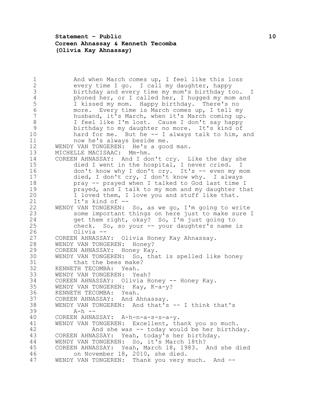**Statement – Public 10 Coreen Ahnassay & Kenneth Tecomba (Olivia Kay Ahnassay)**

1 and when March comes up, I feel like this loss<br>2 every time I go. I call my daughter, happy every time I go. I call my daughter, happy birthday and every time my mom's birthday too. I 4 phoned her, or I called her, I hugged my mom and<br>5 I kissed my mom. Happy birthday. There's no 5 I kissed my mom. Happy birthday. There's no<br>6 more. Every time is March comes up, I tell my more. Every time is March comes up, I tell my husband, it's March, when it's March coming up. I feel like I'm lost. Cause I don't say happy birthday to my daughter no more. It's kind of hard for me. But he -- I always talk to him, and now he's always beside me. WENDY VAN TONGEREN: He's a good man. MICHELLE MACISAAC: Mm-hm. COREEN AHNASSAY: And I don't cry. Like the day she died I went in the hospital, I never cried. I don't know why I don't cry. It's -- even my mom died, I don't cry, I don't know why. I always pray -- prayed when I talked to God last time I **prayed, and I talk to my mom and my daughter that**  I loved them, I love you and stuff like that. 21 It's kind of --<br>22 WENDY VAN TONGEREN: WENDY VAN TONGEREN: So, as we go, I'm going to write some important things on here just to make sure I get them right, okay? So, I'm just going to check. So, so your -- your daughter's name is Olivia -- COREEN AHNASSAY: Olivia Honey Kay Ahnassay. WENDY VAN TONGEREN: Honey? COREEN AHNASSAY: Honey Kay. WENDY VAN TONGEREN: So, that is spelled like honey that the bees make? KENNETH TECOMBA: Yeah. WENDY VAN TONGEREN: Yeah? 34 COREEN AHNASSAY: Olivia Honey -- Honey Kay. WENDY VAN TONGEREN: Kay, K-a-y? KENNETH TECOMBA: Yeah. COREEN AHNASSAY: And Ahnassay. WENDY VAN TONGEREN: And that's -- I think that's A-h -- COREEN AHNASSAY: A-h-n-a-s-s-a-y. WENDY VAN TONGEREN: Excellent, thank you so much. And she was -- today would be her birthday. COREEN AHNASSAY: Yeah, today's her birthday. WENDY VAN TONGEREN: So, it's March 18th? COREEN AHNASSAY: Yeah, March 18, 1983. And she died on November 18, 2010, she died. 47 WENDY VAN TONGEREN: Thank you very much. And --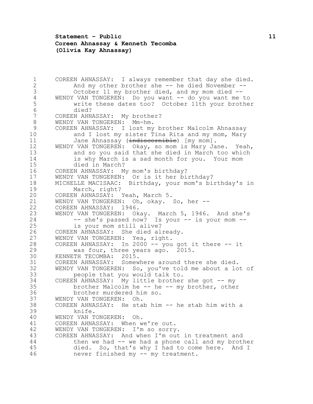**Statement – Public 11 Coreen Ahnassay & Kenneth Tecomba (Olivia Kay Ahnassay)**

1 COREEN AHNASSAY: I always remember that day she died.<br>2 and my other brother she -- he died November --And my other brother she -- he died November -- October 11 my brother died, and my mom died -- 4 WENDY VAN TONGEREN: Do you want -- do you want me to<br>5 write these dates too? October 11th your brothe: write these dates too? October 11th your brother 6 died?<br>7 COREEN AHN. COREEN AHNASSAY: My brother? WENDY VAN TONGEREN: Mm-hm. COREEN AHNASSAY: I lost my brother Malcolm Ahnassay 10 and I lost my sister Tina Rita and my mom, Mary 11 Jane Ahnassay (indiscernible) [my mom]. WENDY VAN TONGEREN: Okay, so mom is Mary Jane. Yeah, and so you said that she died in March too which is why March is a sad month for you. Your mom died in March? COREEN AHNASSAY: My mom's birthday? WENDY VAN TONGEREN: Or is it her birthday? MICHELLE MACISAAC: Birthday, your mom's birthday's in March, right? COREEN AHNASSAY: Yeah, March 5. 21 WENDY VAN TONGEREN: Oh, okay. So, her --<br>22 COREEN AHNASSAY: 1946. 22 COREEN AHNASSAY: 1946.<br>23 WENDY VAN TONGEREN: Ok WENDY VAN TONGEREN: Okay. March 5, 1946. And she's 24 -- she's passed now? Is your -- is your mom -- is your mom still alive? COREEN AHNASSAY: She died already. WENDY VAN TONGEREN: Yes, right. COREEN AHNASSAY: In 2000 -- you got it there -- it was four, three years ago. 2015. KENNETH TECOMBA: 2015. COREEN AHNASSAY: Somewhere around there she died. WENDY VAN TONGEREN: So, you've told me about a lot of 33 people that you would talk to.<br>34 COREEN AHNASSAY: My little brother 34 COREEN AHNASSAY: My little brother she got -- my<br>35 brother Malcolm he -- he -- my brother, other brother Malcolm he -- he -- my brother, other brother murdered him so. WENDY VAN TONGEREN: Oh. COREEN AHNASSAY: He stab him -- he stab him with a knife. WENDY VAN TONGEREN: Oh. COREEN AHNASSAY: When we're out. WENDY VAN TONGEREN: I'm so sorry. COREEN AHNASSAY: And when I'm out in treatment and then we had -- we had a phone call and my brother died. So, that's why I had to come here. And I never finished my -- my treatment.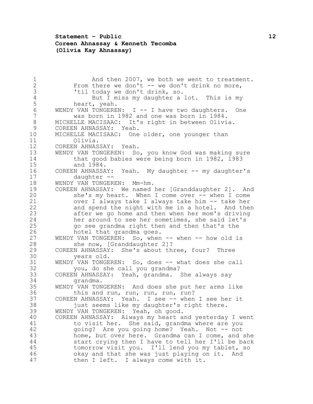## **Statement – Public 12 Coreen Ahnassay & Kenneth Tecomba (Olivia Kay Ahnassay)**

1 and then 2007, we both we went to treatment.<br>2 From there we don't -- we don't drink no more. 2 From there we don't -- we don't drink no more,<br>3 Til today we don't drink, so. 'til today we don't drink, so. 4 But I miss my daughter a lot. This is my<br>5 heart, yeah. 5 heart, yeah.<br>6 WENDY VAN TONGERE 6 WENDY VAN TONGEREN: I -- I have two daughters. One<br>7 was born in 1982 and one was born in 1984. was born in 1982 and one was born in 1984. MICHELLE MACISAAC: It's right in between Olivia. COREEN AHNASSAY: Yeah. MICHELLE MACISAAC: One older, one younger than Olivia. COREEN AHNASSAY: Yeah. WENDY VAN TONGEREN: So, you know God was making sure that good babies were being born in 1982, 1983 and 1984. COREEN AHNASSAY: Yeah. My daughter -- my daughter's daughter -- WENDY VAN TONGEREN: Mm-hm. COREEN AHNASSAY: We named her [Granddaughter 2]. And she's my heart. When I come over -- when I come 21 over I always take I always take him -- take her<br>22 and spend the night with me in a hotel. And the and spend the night with me in a hotel. And then 23 after we go home and then when her mom's driving<br>24 her around to see her sometimes, she said let's her around to see her sometimes, she said let's go see grandma right then and then that's the hotel that grandma goes. 27 WENDY VAN TONGEREN: So, when -- when -- how old is she now, [Granddaughter 2]? COREEN AHNASSAY: She's about three, four? Three years old. WENDY VAN TONGEREN: So, does -- what does she call you, do she call you grandma? COREEN AHNASSAY: Yeah, grandma. She always say grandma. WENDY VAN TONGEREN: And does she put her arms like this and run, run, run, run, run? COREEN AHNASSAY: Yeah. I see -- when I see her it just seems like my daughter's right there. WENDY VAN TONGEREN: Yeah, oh good. COREEN AHNASSAY: Always my heart and yesterday I went to visit her. She said, grandma where are you 42 going? Are you going home? Yeah. Not -- not home, but over here. Grandma can I come, and she start crying then I have to tell her I'll be back tomorrow visit you. I'll lend you my tablet, so okay and that she was just playing on it. And then I left. I always come with it.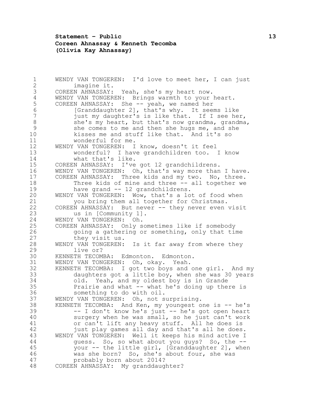#### **Statement – Public 13 Coreen Ahnassay & Kenneth Tecomba (Olivia Kay Ahnassay)**

```
1 WENDY VAN TONGEREN: I'd love to meet her, I can just 
 2 imagine it.
 3 COREEN AHNASSAY: Yeah, she's my heart now.
 4 WENDY VAN TONGEREN: Brings warmth to your heart.<br>5 COREEN AHNASSAY: She -- yeah, we named her
 5 COREEN AHNASSAY: She -- yeah, we named her<br>6 [Granddaughter 2], that's why. It seem
 6 [Granddaughter 2], that's why. It seems like 
           just my daughter's is like that. If I see her,
 8 she's my heart, but that's now grandma, grandma, 
 9 she comes to me and then she hugs me, and she 
10 kisses me and stuff like that. And it's so 
11 wonderful for me.
12 WENDY VAN TONGEREN: I know, doesn't it feel 
13 wonderful? I have grandchildren too. I know 
14 what that's like.
15 COREEN AHNASSAY: I've got 12 grandchildrens.
16 WENDY VAN TONGEREN: Oh, that's way more than I have.
17 COREEN AHNASSAY: Three kids and my two. No, three. 
18 Three kids of mine and three -- all together we 
19 have grand -- 12 grandchildrens.
20 WENDY VAN TONGEREN: Wow, that's a lot of food when 
21 you bring them all together for Christmas.<br>22 COREEN AHNASSAY: But never -- they never even
22 COREEN AHNASSAY: But never -- they never even visit<br>23 and the Community 11.
           us in [Community 1].
24 WENDY VAN TONGEREN: Oh.
25 COREEN AHNASSAY: Only sometimes like if somebody 
26 going a gathering or something, only that time 
27 they visit us.
28 WENDY VAN TONGEREN: Is it far away from where they 
29 live or?
30 KENNETH TECOMBA: Edmonton. Edmonton.
31 WENDY VAN TONGEREN: Oh, okay. Yeah.
32 KENNETH TECOMBA: I got two boys and one girl. And my 
33 daughters got a little boy, when she was 30 years<br>34 old. Yeah, and my oldest boy is in Grande
           old. Yeah, and my oldest boy is in Grande
35 Prairie and what -- what he's doing up there is 
36 something to do with oil.
37 WENDY VAN TONGEREN: Oh, not surprising.
38 KENNETH TECOMBA: And Ken, my youngest one is -- he's 
39 -- I don't know he's just -- he's got open heart 
40 surgery when he was small, so he just can't work 
41 or can't lift any heavy stuff. All he does is 
42 just play games all day and that's all he does.
43 WENDY VAN TONGEREN: Well it keeps his mind active I 
44 guess. So, so what about you guys? So, the --
45 your -- the little girl, [Granddaughter 2], when 
46 was she born? So, she's about four, she was 
47 probably born about 2014?
48 COREEN AHNASSAY: My granddaughter?
```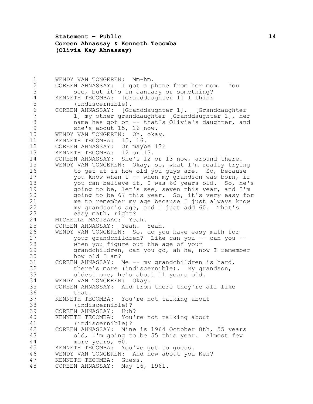**Statement – Public 14 Coreen Ahnassay & Kenneth Tecomba (Olivia Kay Ahnassay)**

 WENDY VAN TONGEREN: Mm-hm. COREEN AHNASSAY: I got a phone from her mom. You see, but it's in January or something? 4 KENNETH TECOMBA: [Granddaughter 1] I think<br>5 (indiscernible). 5 (indiscernible).<br>6 COREEN AHNASSAY: [Gr COREEN AHNASSAY: [Granddaughter 1]. [Granddaughter 1] my other granddaughter [Granddaughter 1], her name has got on -- that's Olivia's daughter, and she's about 15, 16 now. WENDY VAN TONGEREN: Oh, okay. KENNETH TECOMBA: 15, 16. COREEN AHNASSAY: Or maybe 13? KENNETH TECOMBA: 12 or 13. COREEN AHNASSAY: She's 12 or 13 now, around there. WENDY VAN TONGEREN: Okay, so, what I'm really trying to get at is how old you guys are. So, because 17 you know when I -- when my grandson was born, if you can believe it, I was 60 years old. So, he's going to be, let's see, seven this year, and I'm going to be 67 this year. So, it's very easy for me to remember my age because I just always know my grandson's age, and I just add 60. That's easy math, right? MICHELLE MACISAAC: Yeah. COREEN AHNASSAY: Yeah. Yeah. WENDY VAN TONGEREN: So, do you have easy math for your grandchildren? Like can you -- can you -- when you figure out the age of your grandchildren, can you go, ah ha, now I remember how old I am? COREEN AHNASSAY: Me -- my grandchildren is hard, there's more (indiscernible). My grandson, 33 oldest one, he's about 11 years old.<br>34 WENDY VAN TONGEREN: Okav. WENDY VAN TONGEREN: Okay. COREEN AHNASSAY: And from there they're all like that. KENNETH TECOMBA: You're not talking about (indiscernible)? COREEN AHNASSAY: Huh? KENNETH TECOMBA: You're not talking about (indiscernible)? COREEN AHNASSAY: Mine is 1964 October 8th, 55 years old, I'm going to be 55 this year. Almost few more years, 60. KENNETH TECOMBA: You've got to guess. WENDY VAN TONGEREN: And how about you Ken? KENNETH TECOMBA: Guess. COREEN AHNASSAY: May 16, 1961.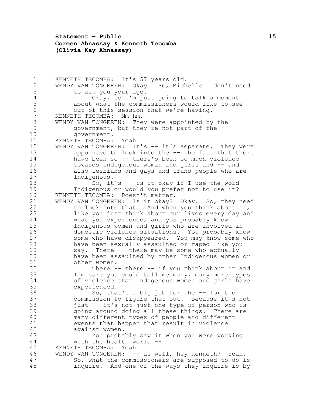**Statement – Public 15 Coreen Ahnassay & Kenneth Tecomba (Olivia Kay Ahnassay)**

1 KENNETH TECOMBA: It's 57 years old.<br>2 WENDY VAN TONGEREN: Okav. So. Mich WENDY VAN TONGEREN: Okay. So, Michelle I don't need to ask you your age. 4 Okay, so I'm just going to talk a moment<br>5 about what the commissioners would like to see 5 about what the commissioners would like to see<br>6 out of this session that we're having. 6 out of this session that we're having.<br>7 KENNETH TECOMBA: Mm-hm. KENNETH TECOMBA: Mm-hm. WENDY VAN TONGEREN: They were appointed by the government, but they're not part of the government. KENNETH TECOMBA: Yeah. 12 WENDY VAN TONGEREN: It's -- it's separate. They were appointed to look into the -- the fact that there have been so -- there's been so much violence towards Indigenous woman and girls and -- and also lesbians and gays and trans people who are Indigenous. So, it's -- is it okay if I use the word Indigenous or would you prefer not to use it? KENNETH TECOMBA: Doesn't matter. WENDY VAN TONGEREN: Is it okay? Okay. So, they need to look into that. And when you think about it, like you just think about our lives every day and what you experience, and you probably know Indigenous women and girls who are involved in domestic violence situations. You probably know some who have disappeared. You may know some who have been sexually assaulted or raped like you say. There -- there may be some who actually have been assaulted by other Indigenous women or other women. There -- there -- if you think about it and 33 I'm sure you could tell me many, many more types<br>34 of violence that Indigenous women and girls have of violence that Indigenous women and girls have experienced. So, that's a big job for the -- for the commission to figure that out. Because it's not just -- it's not just one type of person who is going around doing all these things. There are many different types of people and different events that happen that result in violence against women. You probably saw it when you were working with the health world -- KENNETH TECOMBA: Yeah. WENDY VAN TONGEREN: -- as well, hey Kenneth? Yeah. So, what the commissioners are supposed to do is inquire. And one of the ways they inquire is by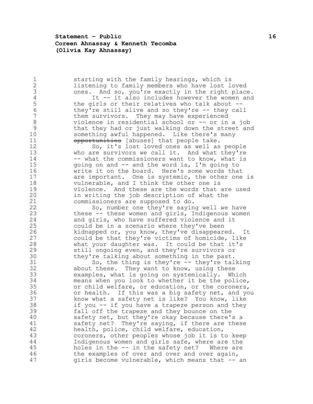**Statement – Public 16 Coreen Ahnassay & Kenneth Tecomba (Olivia Kay Ahnassay)**

1 51 starting with the family hearings, which is<br>2 1istening to family members who have lost lo 2 listening to family members who have lost loved<br>3 ones. And so, you're exactly in the right place ones. And so, you're exactly in the right place. 4 It -- it also includes however the women and<br>5 the girls or their relatives who talk about --5 the girls or their relatives who talk about --<br>6 they're still alive and so they're -- they call they're still alive and so they're -- they call them survivors. They may have experienced violence in residential school or -- or in a job that they had or just walking down the street and something awful happened. Like there's many 11 opportunities [abuses] that people take. So, it's lost loved ones as well as people who are survivors we call it. And what they're 14 -- what the commissioners want to know, what is going on and -- and the word is, I'm going to write it on the board. Here's some words that are important. One is systemic, the other one is 18 vulnerable, and I think the other one is violence. And these are the words that are used in writing the job description of what the 21 commissioners are supposed to do.<br>22 So, number one they're savin So, number one they're saying well we have these -- these women and girls, Indigenous women and girls, who have suffered violence and it could be in a scenario where they've been kidnapped or, you know, they've disappeared. It could be that they're victims of homicide, like what your daughter was. It could be that it's still ongoing even, and they're survivors or they're talking about something in the past. So, the thing is they're -- they're talking about these. They want to know, using these 33 examples, what is going on systemically. Which<br>34 means when you look to whether it be the police means when you look to whether it be the police, or child welfare, or education, or the coroners, or health. If this was a big safety net, and you know what a safety net is like? You know, like if you -- if you have a trapeze person and they fall off the trapeze and they bounce on the safety net, but they're okay because there's a safety net? They're saying, if there are these health, police, child welfare, education, coroners, other peoples whose job it is to keep Indigenous women and girls safe, where are the holes in the -- in the safety net? Where are the examples of over and over and over again, girls become vulnerable, which means that -- an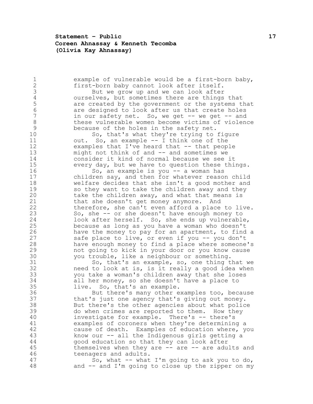**Statement – Public 17 Coreen Ahnassay & Kenneth Tecomba (Olivia Kay Ahnassay)**

| 1               | example of vulnerable would be a first-born baby,   |
|-----------------|-----------------------------------------------------|
| $\mathbf{2}$    | first-born baby cannot look after itself.           |
| 3               | But we grow up and we can look after                |
| $\overline{4}$  | ourselves, but sometimes there are things that      |
| 5               | are created by the government or the systems that   |
| $6\phantom{.}6$ | are designed to look after us that create holes     |
| 7               | in our safety net. So, we get -- we get -- and      |
| 8               | these vulnerable women become victims of violence   |
| 9               | because of the holes in the safety net.             |
| 10              | So, that's what they're trying to figure            |
| 11              | So, an example $--$ I think one of the<br>out.      |
| 12              | examples that I've heard that -- that people        |
| 13              | might not think of and -- and sometimes we          |
| 14              | consider it kind of normal because we see it        |
| 15              | every day, but we have to question these things.    |
| 16              | So, an example is you -- a woman has                |
| 17              | children say, and then for whatever reason child    |
| 18              | welfare decides that she isn't a good mother and    |
| 19              | so they want to take the children away and they     |
| 20              | take the children away, and what that means is      |
| 21              | that she doesn't get money anymore. And             |
| 22              | therefore, she can't even afford a place to live.   |
| 23              | So, she -- or she doesn't have enough money to      |
| 24              | look after herself. So, she ends up vulnerable,     |
| 25              | because as long as you have a woman who doesn't     |
| 26              | have the money to pay for an apartment, to find a   |
| 27              | safe place to live, or even if you -- you don't     |
| 28              | have enough money to find a place where someone's   |
| 29              | not going to kick in your door or you know cause    |
| 30              | you trouble, like a neighbour or something.         |
| 31              |                                                     |
| 32              | So, that's an example, so, one thing that we        |
| 33              | need to look at is, is it really a good idea when   |
| 34              | you take a woman's children away that she loses     |
|                 | all her money, so she doesn't have a place to       |
| 35              | live. So, that's an example.                        |
| 36<br>37        | But there's many other examples too, because        |
| 38              | that's just one agency that's giving out money.     |
|                 | But there's the other agencies about what police    |
| 39              | do when crimes are reported to them. How they       |
| 40              | investigate for example. There's -- there's         |
| 41              | examples of coroners when they're determining a     |
| 42              | cause of death. Examples of education where, you    |
| 43              | know our -- all the Indigenous girls getting a      |
| 44              | good education so that they can look after          |
| 45              | themselves when they are $-$ are $-$ are adults and |
| 46              | teenagers and adults.                               |
| 47              | So, what $--$ what I'm going to ask you to do,      |
| 48              | and -- and I'm going to close up the zipper on my   |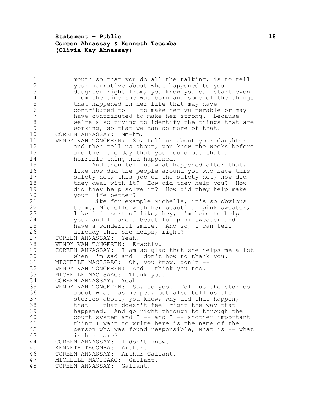**Statement – Public 18 Coreen Ahnassay & Kenneth Tecomba (Olivia Kay Ahnassay)**

1 mouth so that you do all the talking, is to tell<br>2 vour narrative about what happened to your your narrative about what happened to your daughter right from, you know you can start even 4 from the time she was born and some of the things<br>5 that happened in her life that may have 5 that happened in her life that may have<br>6 contributed to -- to make her vulnerable contributed to -- to make her vulnerable or may have contributed to make her strong. Because we're also trying to identify the things that are working, so that we can do more of that. COREEN AHNASSAY: Mm-hm. WENDY VAN TONGEREN: So, tell us about your daughter 12 and then tell us about, you know the weeks before and then the day that you found out that a horrible thing had happened. And then tell us what happened after that, 16 16 like how did the people around you who have this safety net, this job of the safety net, how did 18 they deal with it? How did they help you? How did they help solve it? How did they help make your life better? Like for example Michelle, it's so obvious to me, Michelle with her beautiful pink sweater, like it's sort of like, hey, I'm here to help you, and I have a beautiful pink sweater and I have a wonderful smile. And so, I can tell already that she helps, right? COREEN AHNASSAY: Yeah. WENDY VAN TONGEREN: Exactly. COREEN AHNASSAY: I am so glad that she helps me a lot when I'm sad and I don't how to thank you. MICHELLE MACISAAC: Oh, you know, don't -- WENDY VAN TONGEREN: And I think you too. 33 MICHELLE MACISAAC: Thank you.<br>34 COREEN AHNASSAY: Yeah. COREEN AHNASSAY: Yeah. WENDY VAN TONGEREN: So, so yes. Tell us the stories about what has helped, but also tell us the stories about, you know, why did that happen, that -- that doesn't feel right the way that happened. And go right through to through the court system and I -- and I -- another important thing I want to write here is the name of the person who was found responsible, what is -- what is his name? COREEN AHNASSAY: I don't know. KENNETH TECOMBA: Arthur. COREEN AHNASSAY: Arthur Gallant. MICHELLE MACISAAC: Gallant. COREEN AHNASSAY: Gallant.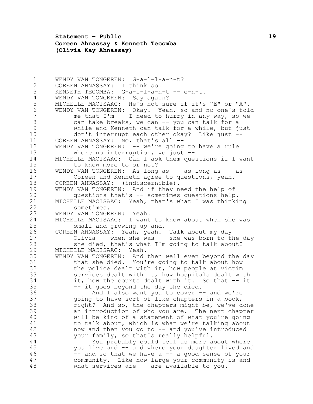**Statement – Public 19 Coreen Ahnassay & Kenneth Tecomba (Olivia Kay Ahnassay)**

 WENDY VAN TONGEREN: G-a-l-l-a-n-t? COREEN AHNASSAY: I think so. KENNETH TECOMBA: G-a-l-l-a-n-t -- e-n-t. 4 WENDY VAN TONGEREN: Say again?<br>5 MICHELLE MACISAAC: He's not su 5 MICHELLE MACISAAC: He's not sure if it's "E" or "A".<br>6 WENDY VAN TONGEREN: Okay. Yeah, so and no one's tol WENDY VAN TONGEREN: Okay. Yeah, so and no one's told  $\frac{1}{2}$  me that I'm  $-$  I need to hurry in any way, so we 8 6 8 6 can take breaks, we can -- you can talk for a while and Kenneth can talk for a while, but just don't interrupt each other okay? Like just -- COREEN AHNASSAY: No, that's all -- WENDY VAN TONGEREN: -- we're going to have a rule where no interruption, we just -- MICHELLE MACISAAC: Can I ask them questions if I want 15 to know more to or not? 16 WENDY VAN TONGEREN: As long as -- as long as -- as Coreen and Kenneth agree to questions, yeah. COREEN AHNASSAY: (indiscernible). WENDY VAN TONGEREN: And if they need the help of questions that's -- sometimes questions help. 21 MICHELLE MACISAAC: Yeah, that's what I was thinking<br>22 Sometimes. sometimes. WENDY VAN TONGEREN: Yeah. MICHELLE MACISAAC: I want to know about when she was small and growing up and. COREEN AHNASSAY: Yeah, yeah. Talk about my day Olivia -- when she was -- she was born to the day she died, that's what I'm going to talk about? MICHELLE MACISAAC: Yeah. WENDY VAN TONGEREN: And then well even beyond the day that she died. You're going to talk about how the police dealt with it, how people at victim services dealt with it, how hospitals dealt with it, how the courts dealt with it. So that -- it -- it goes beyond the day she died. And I also want you to cover -- and we're going to have sort of like chapters in a book, right? And so, the chapters might be, we've done an introduction of who you are. The next chapter will be kind of a statement of what you're going to talk about, which is what we're talking about now and then you go to -- and you've introduced your family, so that's really helpful. You probably could tell us more about where you live and -- and where your daughter lived and -- and so that we have a -- a good sense of your community. Like how large your community is and what services are -- are available to you.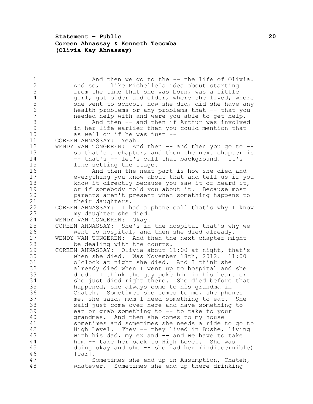## **Statement – Public 20 Coreen Ahnassay & Kenneth Tecomba (Olivia Kay Ahnassay)**

1 and then we go to the -- the life of Olivia.<br>2 and so. I like Michelle's idea about starting And so, I like Michelle's idea about starting from the time that she was born, was a little 4 girl, got older and older, where she lived, where<br>5 she went to school, how she did, did she have any 5 she went to school, how she did, did she have any<br>6 health problems or any problems that -- that you 6 health problems or any problems that -- that you<br>7 heeded help with and were you able to get help. needed help with and were you able to get help. 8 And then -- and then if Arthur was involved in her life earlier then you could mention that as well or if he was just -- COREEN AHNASSAY: Yeah. 12 WENDY VAN TONGEREN: And then -- and then you go to -- so that's a chapter, and then the next chapter is 14 -- that's -- let's call that background. It's like setting the stage. And then the next part is how she died and everything you know about that and tell us if you know it directly because you saw it or heard it, or if somebody told you about it. Because most parents aren't present when something happens to 21 their daughters.<br>22 COREEN AHNASSAY: I h. COREEN AHNASSAY: I had a phone call that's why I know my daughter she died. WENDY VAN TONGEREN: Okay. COREEN AHNASSAY: She's in the hospital that's why we went to hospital, and then she died already. WENDY VAN TONGEREN: And then the next chapter might be dealing with the courts. COREEN AHNASSAY: Olivia about 11:00 at night, that's when she died. Was November 18th, 2012. 11:00 o'clock at night she died. And I think she already died when I went up to hospital and she died. I think the guy poke him in his heart or she just died right there. She died before that happened, she always come to his grandma in Chateh. Sometimes she comes to me, she phones me, she said, mom I need something to eat. She said just come over here and have something to eat or grab something to -- to take to your grandmas. And then she comes to my house sometimes and sometimes she needs a ride to go to High Level. They -- they lived in Bushe, living 43 with his dad, my ex and -- and we have to take him -- take her back to High Level. She was 45 doing okay and she -- she had her (indiscernible) [car]. Sometimes she end up in Assumption, Chateh, whatever. Sometimes she end up there drinking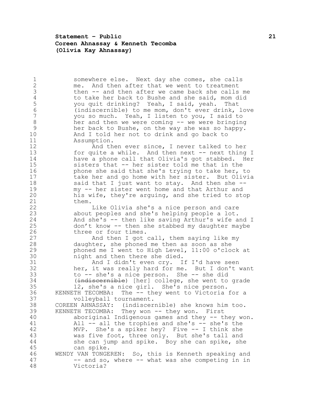**Statement – Public 21 Coreen Ahnassay & Kenneth Tecomba (Olivia Kay Ahnassay)**

1 somewhere else. Next day she comes, she calls<br>2 me. And then after that we went to treatment me. And then after that we went to treatment then -- and then after we came back she calls me 4 to take her back to Bushe and she said, mom did<br>5 you quit drinking? Yeah, I said, yeah. That you quit drinking? Yeah, I said, yeah. That (indiscernible) to me mom, don't ever drink, love you so much. Yeah, I listen to you, I said to her and then we were coming -- we were bringing her back to Bushe, on the way she was so happy. And I told her not to drink and go back to Assumption. And then ever since, I never talked to her 13 for quite a while. And then next -- next thing I have a phone call that Olivia's got stabbed. Her sisters that -- her sister told me that in the **phone she said that she's trying to take her, to**  take her and go home with her sister. But Olivia 18 said that I just want to stay. And then she -- my -- her sister went home and that Arthur and his wife, they're arguing, and she tried to stop 21 them.<br>22 Like Olivia she's a nice person and care about peoples and she's helping people a lot. And she's -- then like saving Arthur's wife and I don't know -- then she stabbed my daughter maybe three or four times. And then I got call, them saying like my daughter, she phoned me then as soon as she phoned me I went to High Level, 11:00 o'clock at night and then there she died. And I didn't even cry. If I'd have seen her, it was really hard for me. But I don't want 33 to -- she's a nice person. She -- she did<br>34 (indiscernible) [her] college, she went to (indiscernible) [her] college, she went to grade 12, she's a nice girl. She's nice person. KENNETH TECOMBA: The -- they went to Victoria for a volleyball tournament. COREEN AHNASSAY: (indiscernible) she knows him too. KENNETH TECOMBA: They won -- they won. First aboriginal Indigenous games and they -- they won. All -- all the trophies and she's -- she's the MVP. She's a spiker hey? Five -- I think she was five foot, three only. But she's tall and she can jump and spike. Boy she can spike, she can spike. WENDY VAN TONGEREN: So, this is Kenneth speaking and 47 -- and so, where -- what was she competing in in Victoria?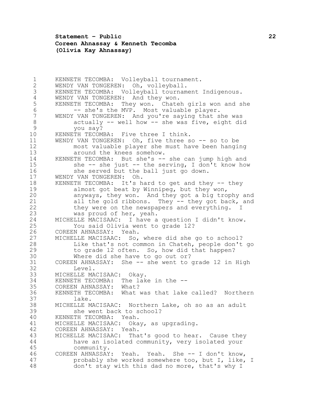**Statement – Public 22 Coreen Ahnassay & Kenneth Tecomba (Olivia Kay Ahnassay)**

 KENNETH TECOMBA: Volleyball tournament. WENDY VAN TONGEREN: Oh, volleyball. KENNETH TECOMBA: Volleyball tournament Indigenous. 4 WENDY VAN TONGEREN: And they won.<br>5 KENNETH TECOMBA: They won. Chate 5 KENNETH TECOMBA: They won. Chateh girls won and she<br>6 -- she's the MVP. Most valuable player. 6 -- she's the MVP. Most valuable player.<br>7 WENDY VAN TONGEREN: And vou're saving that s WENDY VAN TONGEREN: And you're saying that she was actually -- well how -- she was five, eight did you say? KENNETH TECOMBA: Five three I think. WENDY VAN TONGEREN: Oh, five three so -- so to be most valuable player she must have been hanging around the knees somehow. KENNETH TECOMBA: But she's -- she can jump high and she -- she just -- the serving, I don't know how she served but the ball just go down. WENDY VAN TONGEREN: Oh. KENNETH TECOMBA: It's hard to get and they -- they almost got beat by Winnipeg, but they won, anyways, they won. And they got a big trophy and 21 all the gold ribbons. They -- they got back, and<br>22 they were on the newspapers and everything. I 22 they were on the newspapers and everything. I<br>23 was proud of her, yeah. was proud of her, yeah. MICHELLE MACISAAC: I have a question I didn't know. You said Olivia went to grade 12? COREEN AHNASSAY: Yeah. MICHELLE MACISAAC: So, where did she go to school? Like that's not common in Chateh, people don't go to grade 12 often. So, how did that happen? Where did she have to go out or? COREEN AHNASSAY: She -- she went to grade 12 in High Level. 33 MICHELLE MACISAAC: Okay.<br>34 KENNETH TECOMBA: The lak KENNETH TECOMBA: The lake in the -- COREEN AHNASSAY: What? KENNETH TECOMBA: What was that lake called? Northern lake. MICHELLE MACISAAC: Northern Lake, oh so as an adult she went back to school? KENNETH TECOMBA: Yeah. MICHELLE MACISAAC: Okay, as upgrading. COREEN AHNASSAY: Yeah. MICHELLE MACISAAC: That's good to hear. Cause they have an isolated community, very isolated your community. COREEN AHNASSAY: Yeah. Yeah. She -- I don't know, probably she worked somewhere too, but I, like, I don't stay with this dad no more, that's why I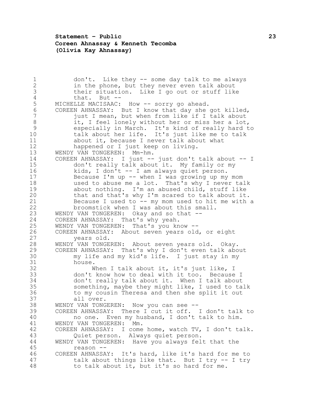## **Statement – Public 23 Coreen Ahnassay & Kenneth Tecomba (Olivia Kay Ahnassay)**

1 don't. Like they -- some day talk to me always<br>2 in the phone, but they never even talk about in the phone, but they never even talk about their situation. Like I go out or stuff like 4 that. But --<br>5 MICHELLE MACISAAC: 5 MICHELLE MACISAAC: How -- sorry go ahead.<br>6 COREEN AHNASSAY: But I know that day she 6 COREEN AHNASSAY: But I know that day she got killed,<br>7 iust I mean, but when from like if I talk about just I mean, but when from like if I talk about 8 it, I feel lonely without her or miss her a lot, especially in March. It's kind of really hard to talk about her life. It's just like me to talk about it, because I never talk about what happened or I just keep on living. WENDY VAN TONGEREN: Mm-hm. COREEN AHNASSAY: I just -- just don't talk about -- I don't really talk about it. My family or my kids, I don't -- I am always quiet person. Because I'm up -- when I was growing up my mom used to abuse me a lot. That's why I never talk about nothing. I'm an abused child, stuff like that and that's why I'm scared to talk about it. 21 Because I used to -- my mom used to hit me with a<br>22 broomstick when I was about this small. broomstick when I was about this small. WENDY VAN TONGEREN: Okay and so that -- COREEN AHNASSAY: That's why yeah. WENDY VAN TONGEREN: That's you know -- COREEN AHNASSAY: About seven years old, or eight years old. WENDY VAN TONGEREN: About seven years old. Okay. COREEN AHNASSAY: That's why I don't even talk about my life and my kid's life. I just stay in my house. When I talk about it, it's just like, I don't know how to deal with it too. Because I don't really talk about it. When I talk about something, maybe they might like, I used to talk to my cousin Theresa and then she split it out all over. WENDY VAN TONGEREN: Now you can see -- COREEN AHNASSAY: There I cut it off. I don't talk to no one. Even my husband, I don't talk to him. WENDY VAN TONGEREN: Mm. COREEN AHNASSAY: I come home, watch TV, I don't talk. Quiet person. Always quiet person. WENDY VAN TONGEREN: Have you always felt that the reason -- COREEN AHNASSAY: It's hard, like it's hard for me to talk about things like that. But I try -- I try to talk about it, but it's so hard for me.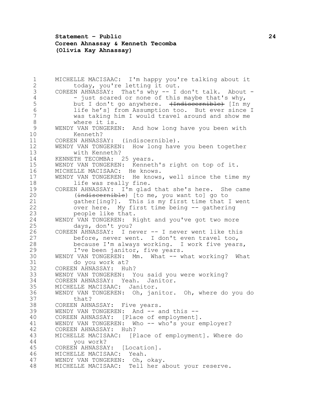**Statement – Public 24 Coreen Ahnassay & Kenneth Tecomba (Olivia Kay Ahnassay)**

 MICHELLE MACISAAC: I'm happy you're talking about it 2 today, you're letting it out. COREEN AHNASSAY: That's why -- I don't talk. About - 4 - just scared or none of this maybe that's why,<br>5 but I don't go anywhere. <del>(Indiscernible)</del> [In m but I don't go anywhere. (Indiscernible) [In my life he's] from Assumption too. But ever since I was taking him I would travel around and show me where it is. WENDY VAN TONGEREN: And how long have you been with Kenneth? COREEN AHNASSAY: (indiscernible). WENDY VAN TONGEREN: How long have you been together with Kenneth? KENNETH TECOMBA: 25 years. WENDY VAN TONGEREN: Kenneth's right on top of it. MICHELLE MACISAAC: He knows. WENDY VAN TONGEREN: He knows, well since the time my 18 life was really fine. COREEN AHNASSAY: I'm glad that she's here. She came 20 (indiscernible) [to me, you want to] go to 21 gather[ing?]. This is my first time that I went<br>22 over here. My first time being -- gathering over here. My first time being -- gathering people like that. WENDY VAN TONGEREN: Right and you've got two more days, don't you? COREEN AHNASSAY: I never -- I never went like this before, never went. I don't even travel too, because I'm always working. I work five years, I've been janitor, five years. 30 WENDY VAN TONGEREN: Mm. What -- what working? What do you work at? COREEN AHNASSAY: Huh? WENDY VAN TONGEREN: You said you were working? COREEN AHNASSAY: Yeah. Janitor. MICHELLE MACISAAC: Janitor. WENDY VAN TONGEREN: Oh, janitor. Oh, where do you do that? COREEN AHNASSAY: Five years. 39 WENDY VAN TONGEREN: And -- and this -- COREEN AHNASSAY: [Place of employment]. WENDY VAN TONGEREN: Who -- who's your employer? COREEN AHNASSAY: Huh? MICHELLE MACISAAC: [Place of employment]. Where do you work? COREEN AHNASSAY: [Location]. MICHELLE MACISAAC: Yeah. WENDY VAN TONGEREN: Oh, okay. MICHELLE MACISAAC: Tell her about your reserve.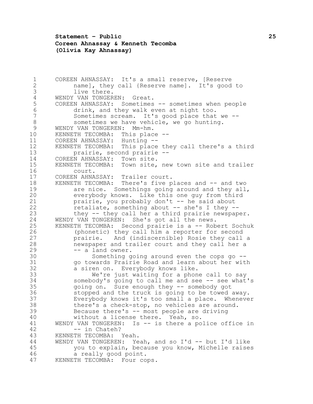**Statement – Public 25 Coreen Ahnassay & Kenneth Tecomba (Olivia Kay Ahnassay)**

1 COREEN AHNASSAY: It's a small reserve, [Reserve<br>2 mamel, they call {Reserve namel, It's good name], they call {Reserve name]. It's good to live there. 4 WENDY VAN TONGEREN: Great.<br>5 COREEN AHNASSAY: Sometimes 5 COREEN AHNASSAY: Sometimes -- sometimes when people<br>6 drink, and they walk even at night too. drink, and they walk even at night too. Sometimes scream. It's good place that we -- sometimes we have vehicle, we go hunting. WENDY VAN TONGEREN: Mm-hm. KENNETH TECOMBA: This place -- COREEN AHNASSAY: Hunting -- KENNETH TECOMBA: This place they call there's a third prairie, second prairie -- COREEN AHNASSAY: Town site. KENNETH TECOMBA: Town site, new town site and trailer court. COREEN AHNASSAY: Trailer court. KENNETH TECOMBA: There's five places and -- and two are nice. Somethings going around and they all, everybody knows. Like this one guy from third prairie, you probably don't -- he said about retaliate, something about -- she's I they -- they -- they call her a third prairie newspaper. WENDY VAN TONGEREN: She's got all the news. KENNETH TECOMBA: Second prairie is a -- Robert Sochuk (phonetic) they call him a reporter for second prairie. And (indiscernible) Rosie they call a newspaper and trailer court and they call her a 29 -- a land owner. Something going around even the cops go -- go towards Prairie Road and learn about her with a siren on. Everybody knows like. 33 We're just waiting for a phone call to say<br>34 somebody's going to call me and see -- see what somebody's going to call me and see -- see what's going on. Sure enough they -- somebody got stopped and the truck is going to be towed away. Everybody knows it's too small a place. Whenever there's a check-stop, no vehicles are around. Because there's -- most people are driving without a license there. Yeah, so. WENDY VAN TONGEREN: Is -- is there a police office in 42 -- in Chateh? KENNETH TECOMBA: Yeah. WENDY VAN TONGEREN: Yeah, and so I'd -- but I'd like you to explain, because you know, Michelle raises a really good point. KENNETH TECOMBA: Four cops.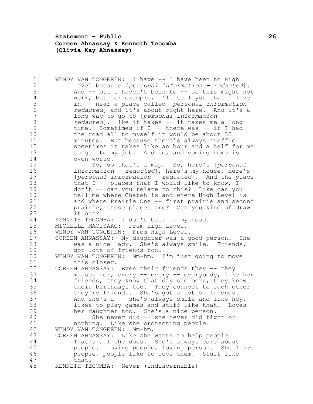**Statement – Public 26 Coreen Ahnassay & Kenneth Tecomba (Olivia Kay Ahnassay)**

1 WENDY VAN TONGEREN: I have -- I have been to High<br>2 Level because [personal information - redacted] Level because [*personal information – redacted*]. And -- but I haven't been to -- so this might not 4 work, but for example, I'll tell you that I live<br>5 in -- near a place called [personal information in -- near a place called [*personal information – redacted*] and it's about right here. And it's a long way to go to [*personal information – redacted*], like it takes -- it takes me a long time. Sometimes if I -- there was -- if I had the road all to myself it would be about 35 minutes. But because there's always traffic sometimes it takes like an hour and a half for me to get to my job. And so, and coming home is even worse. So, so that's a map. So, here's [*personal information – redacted*], here's my house, here's [*personal information – redacted*]. And the place 18 that I -- places that I would like to know,  $I$  don't -- can you relate to this? Like can you tell me where Chateh is and where High Level is and where Prairie One -- first prairie and second prairie, those places are? Can you kind of draw it out? KENNETH TECOMBA: I don't back in my head. MICHELLE MACISAAC: From High Level. WENDY VAN TONGEREN: From High Level. COREEN AHNASSAY: My daughter was a good person. She was a nice lady. She's always smile. Friends, got lots of friends too. WENDY VAN TONGEREN: Mm-hm. I'm just going to move this closer. COREEN AHNASSAY: Even their friends they -- they misses her, every -- every -- everybody, like her friends, they know that day she born, they know 35 their birthdays too. They connect to each other<br>36 they're friends. She's got a lot of friends. they're friends. She's got a lot of friends. 37 And she's  $a$  -- she's always smile and like hey, likes to play games and stuff like that. Loves her daughter too. She's a nice person. She never did -- she never did fight or nothing. Like she protecting people. WENDY VAN TONGEREN: Mm-hm. COREEN AHNASSAY: Like she wants to help people. That's all she does. She's always care about people. Loving people, loving person. She likes people, people like to love them. Stuff like that. KENNETH TECOMBA: Never (indiscernible)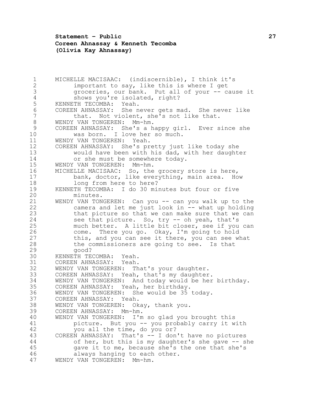**Statement – Public 27 Coreen Ahnassay & Kenneth Tecomba (Olivia Kay Ahnassay)**

1 MICHELLE MACISAAC: (indiscernible), I think it's<br>2 important to sav. like this is where I get important to say, like this is where I get groceries, our bank. Put all of your -- cause it 4 shows you're isolated, right?<br>5 KENNETH TECOMBA: Yeah. 5 KENNETH TECOMBA: Yeah.<br>6 COREEN AHNASSAY: She n 6 COREEN AHNASSAY: She never gets mad. She never like<br>7 that. Not violent, she's not like that. that. Not violent, she's not like that. WENDY VAN TONGEREN: Mm-hm. COREEN AHNASSAY: She's a happy girl. Ever since she was born. I love her so much. WENDY VAN TONGEREN: Yeah. COREEN AHNASSAY: She's pretty just like today she would have been with his dad, with her daughter or she must be somewhere today. WENDY VAN TONGEREN: Mm-hm. MICHELLE MACISAAC: So, the grocery store is here, 17 bank, doctor, like everything, main area. How<br>18 18 bong from here to here? long from here to here? KENNETH TECOMBA: I do 30 minutes but four or five minutes. WENDY VAN TONGEREN: Can you -- can you walk up to the camera and let me just look in -- what up holding that picture so that we can make sure that we can see that picture. So, try -- oh yeah, that's much better. A little bit closer, see if you can come. There you go. Okay, I'm going to hold this, and you can see it there, you can see what the commissioners are going to see. Is that good? KENNETH TECOMBA: Yeah. COREEN AHNASSAY: Yeah. WENDY VAN TONGEREN: That's your daughter. 33 COREEN AHNASSAY: Yeah, that's my daughter.<br>34 WENDY VAN TONGEREN: And today would be her 34 WENDY VAN TONGEREN: And today would be her birthday.<br>35 COREEN AHNASSAY: Yeah, her birthday. COREEN AHNASSAY: Yeah, her birthday. WENDY VAN TONGEREN: She would be 35 today. COREEN AHNASSAY: Yeah. WENDY VAN TONGEREN: Okay, thank you. COREEN AHNASSAY: Mm-hm. WENDY VAN TONGEREN: I'm so glad you brought this picture. But you -- you probably carry it with you all the time, do you or? COREEN AHNASSAY: That's -- I don't have no pictures of her, but this is my daughter's she gave -- she gave it to me, because she's the one that she's always hanging to each other. WENDY VAN TONGEREN: Mm-hm.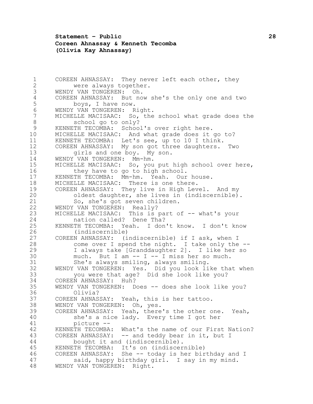**Statement – Public 28 Coreen Ahnassay & Kenneth Tecomba (Olivia Kay Ahnassay)**

1 COREEN AHNASSAY: They never left each other, they<br>2 were always together. were always together. WENDY VAN TONGEREN: Oh. 4 COREEN AHNASSAY: But now she's the only one and two<br>5 boys, I have now. 5 boys, I have now.<br>6 WENDY VAN TONGEREN: R WENDY VAN TONGEREN: Right. MICHELLE MACISAAC: So, the school what grade does the school go to only? KENNETH TECOMBA: School's over right here. MICHELLE MACISAAC: And what grade does it go to? KENNETH TECOMBA: Let's see, up to 10 I think. COREEN AHNASSAY: My son got three daughters. Two girls and one boy. My son. WENDY VAN TONGEREN: Mm-hm. MICHELLE MACISAAC: So, you put high school over here, they have to go to high school. KENNETH TECOMBA: Mm-hm. Yeah. Our house. MICHELLE MACISAAC: There is one there. COREEN AHNASSAY: They live in High Level. And my oldest daughter, she lives in (indiscernible). 21 So, she's got seven children.<br>22 WENDY VAN TONGEREN: Really? 22 WENDY VAN TONGEREN: Really?<br>23 MICHELLE MACISAAC: This is MICHELLE MACISAAC: This is part of -- what's your nation called? Dene Tha? KENNETH TECOMBA: Yeah. I don't know. I don't know (indiscernible) COREEN AHNASSAY: (indiscernible) if I ask, when I come over I spend the night. I take only the -- I always take [Granddaughter 2]. I like her so much. But I am  $-$  I  $-$  I miss her so much. She's always smiling, always smiling. WENDY VAN TONGEREN: Yes. Did you look like that when you were that age? Did she look like you? 34 COREEN AHNASSAY: Huh?<br>35 WENDY VAN TONGEREN: D WENDY VAN TONGEREN: Does -- does she look like you? Olivia? COREEN AHNASSAY: Yeah, this is her tattoo. WENDY VAN TONGEREN: Oh, yes. COREEN AHNASSAY: Yeah, there's the other one. Yeah, she's a nice lady. Every time I got her picture -- KENNETH TECOMBA: What's the name of our First Nation? 43 COREEN AHNASSAY: -- and teddy bear in it, but I bought it and (indiscernible). KENNETH TECOMBA: It's on (indiscernible) COREEN AHNASSAY: She -- today is her birthday and I said, happy birthday girl. I say in my mind. WENDY VAN TONGEREN: Right.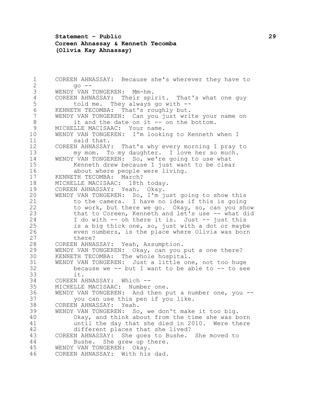## **Statement – Public 29 Coreen Ahnassay & Kenneth Tecomba (Olivia Kay Ahnassay)**

 COREEN AHNASSAY: Because she's wherever they have to  $2 \qquad \qquad \text{q} \circ \text{ --}$  WENDY VAN TONGEREN: Mm-hm. 4 COREEN AHNASSAY: Their spirit. That's what one guy<br>5 told me. They always go with --5 told me. They always go with --<br>6 KENNETH TECOMBA: That's roughly but. 6 KENNETH TECOMBA: That's roughly but.<br>7 WENDY VAN TONGEREN: Can vou just wri WENDY VAN TONGEREN: Can you just write your name on 8 it and the date on it -- on the bottom. MICHELLE MACISAAC: Your name. WENDY VAN TONGEREN: I'm looking to Kenneth when I said that. COREEN AHNASSAY: That's why every morning I pray to my mom. To my daughter. I love her so much. WENDY VAN TONGEREN: So, we're going to use what Kenneth drew because I just want to be clear about where people were living. KENNETH TECOMBA: March? MICHELLE MACISAAC: 18th today. COREEN AHNASSAY: Yeah. Okay. WENDY VAN TONGEREN: So, I'm just going to show this 21 to the camera. I have no idea if this is going<br>22 to work, but there we go. Okav, so, can you she to work, but there we go. Okay, so, can you show that to Coreen, Kenneth and let's use -- what did I do with -- oh there it is. Just -- just this is a big thick one, so, just with a dot or maybe even numbers, is the place where Olivia was born 27 there? COREEN AHNASSAY: Yeah, Assumption. WENDY VAN TONGEREN: Okay, can you put a one there? KENNETH TECOMBA: The whole hospital. WENDY VAN TONGEREN: Just a little one, not too huge because we -- but I want to be able to -- to see 33 it.<br>34 COREEN A 34 COREEN AHNASSAY: Which --<br>35 MICHELLE MACISAAC: Number MICHELLE MACISAAC: Number one. WENDY VAN TONGEREN: And then put a number one, you -- you can use this pen if you like. COREEN AHNASSAY: Yeah. WENDY VAN TONGEREN: So, we don't make it too big. Okay, and think about from the time she was born until the day that she died in 2010. Were there different places that she lived? COREEN AHNASSAY: She goes to Bushe. She moved to Bushe. She grew up there. WENDY VAN TONGEREN: Okay. COREEN AHNASSAY: With his dad.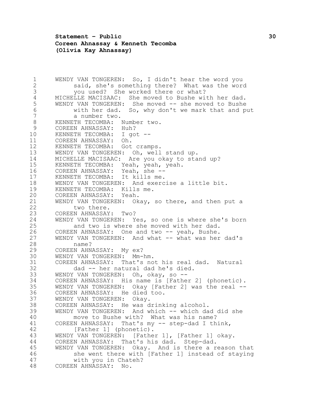**Statement – Public 30 Coreen Ahnassay & Kenneth Tecomba (Olivia Kay Ahnassay)**

 WENDY VAN TONGEREN: So, I didn't hear the word you said, she's something there? What was the word you used? She worked there or what? 4 MICHELLE MACISAAC: She moved to Bushe with her dad.<br>5 WENDY VAN TONGEREN: She moved -- she moved to Bushe WENDY VAN TONGEREN: She moved -- she moved to Bushe with her dad. So, why don't we mark that and put a number two. KENNETH TECOMBA: Number two. COREEN AHNASSAY: Huh? KENNETH TECOMBA: I got -- COREEN AHNASSAY: Oh. KENNETH TECOMBA: Got cramps. WENDY VAN TONGEREN: Oh, well stand up. MICHELLE MACISAAC: Are you okay to stand up? KENNETH TECOMBA: Yeah, yeah, yeah. 16 COREEN AHNASSAY: Yeah, she --<br>17 KENNETH TECOMBA: It kills me. 17 KENNETH TECOMBA: WENDY VAN TONGEREN: And exercise a little bit. KENNETH TECOMBA: Kills me. COREEN AHNASSAY: Yeah. 21 WENDY VAN TONGEREN: Okay, so there, and then put a<br>22 two there. 22 two there.<br>23 COREEN AHNASSAY COREEN AHNASSAY: Two? WENDY VAN TONGEREN: Yes, so one is where she's born and two is where she moved with her dad. COREEN AHNASSAY: One and two -- yeah, Bushe. WENDY VAN TONGEREN: And what -- what was her dad's name? COREEN AHNASSAY: My ex? WENDY VAN TONGEREN: Mm-hm. COREEN AHNASSAY: That's not his real dad. Natural dad -- her natural dad he's died. 33 WENDY VAN TONGEREN: Oh, okay, so --<br>34 COREEN AHNASSAY: His name is IFathe COREEN AHNASSAY: His name is [Father 2] (phonetic). WENDY VAN TONGEREN: Okay [Father 2] was the real -- COREEN AHNASSAY: He died too. WENDY VAN TONGEREN: Okay. COREEN AHNASSAY: He was drinking alcohol. WENDY VAN TONGEREN: And which -- which dad did she move to Bushe with? What was his name? COREEN AHNASSAY: That's my -- step-dad I think, 42 [Father 1] (phonetic). WENDY VAN TONGEREN: [Father 1], [Father 1] okay. COREEN AHNASSAY: That's his dad. Step-dad. WENDY VAN TONGEREN: Okay. And is there a reason that she went there with [Father 1] instead of staying with you in Chateh? COREEN AHNASSAY: No.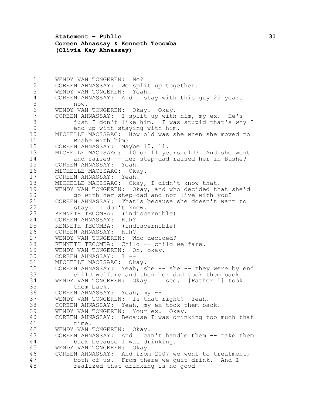**Statement – Public 31 Coreen Ahnassay & Kenneth Tecomba (Olivia Kay Ahnassay)**

 WENDY VAN TONGEREN: No? COREEN AHNASSAY: We split up together. WENDY VAN TONGEREN: Yeah. 4 COREEN AHNASSAY: And I stay with this guy 25 years<br>5 now. 5 now.<br>6 WENDY VAN 6 WENDY VAN TONGEREN: Okay. Okay.<br>7 COREEN AHNASSAY: I split up with COREEN AHNASSAY: I split up with him, my ex. He's 8 just I don't like him. I was stupid that's why I end up with staying with him. MICHELLE MACISAAC: How old was she when she moved to Bushe with him? COREEN AHNASSAY: Maybe 10, 11. MICHELLE MACISAAC: 10 or 11 years old? And she went and raised -- her step-dad raised her in Bushe? COREEN AHNASSAY: Yeah. MICHELLE MACISAAC: Okay. COREEN AHNASSAY: Yeah. MICHELLE MACISAAC: Okay, I didn't know that. WENDY VAN TONGEREN: Okay, and who decided that she'd go with her step-dad and not live with you? 21 COREEN AHNASSAY: That's because she doesn't want to<br>22 stav. I don't know. 22 stay. I don't know.<br>23 KENNETH TECOMBA: (indisc KENNETH TECOMBA: (indiscernible) COREEN AHNASSAY: Huh? KENNETH TECOMBA: (indiscernible) COREEN AHNASSAY: Huh? WENDY VAN TONGEREN: Who decided? 28 KENNETH TECOMBA: Child -- child welfare. WENDY VAN TONGEREN: Oh, okay. COREEN AHNASSAY: I -- MICHELLE MACISAAC: Okay. COREEN AHNASSAY: Yeah, she -- she -- they were by end 33 child welfare and then her dad took them back.<br>34 WENDY VAN TONGEREN: Okay. I see. [Father 1] took WENDY VAN TONGEREN: Okay. I see. [Father 1] took them back. COREEN AHNASSAY: Yeah, my -- WENDY VAN TONGEREN: Is that right? Yeah. COREEN AHNASSAY: Yeah, my ex took them back. WENDY VAN TONGEREN: Your ex. Okay. COREEN AHNASSAY: Because I was drinking too much that time. WENDY VAN TONGEREN: Okay. COREEN AHNASSAY: And I can't handle them -- take them back because I was drinking. WENDY VAN TONGEREN: Okay. COREEN AHNASSAY: And from 2007 we went to treatment, both of us. From there we quit drink. And I realized that drinking is no good --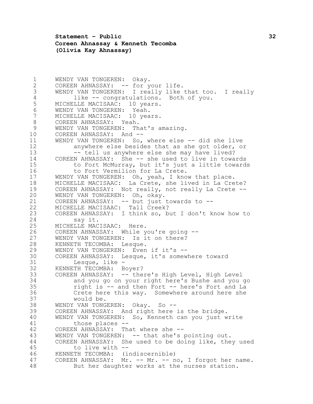**Statement – Public 32 Coreen Ahnassay & Kenneth Tecomba (Olivia Kay Ahnassay)**

 WENDY VAN TONGEREN: Okay. 2 COREEN AHNASSAY: -- for your life. WENDY VAN TONGEREN: I really like that too. I really 4 like -- congratulations. Both of you.<br>5 MICHELLE MACISAAC: 10 years. 5 MICHELLE MACISAAC: 10 years.<br>6 WENDY VAN TONGEREN: Yeah. WENDY VAN TONGEREN: Yeah. MICHELLE MACISAAC: 10 years. COREEN AHNASSAY: Yeah. WENDY VAN TONGEREN: That's amazing. 10 COREEN AHNASSAY: And -- WENDY VAN TONGEREN: So, where else -- did she live anywhere else besides that as she got older, or 13 -- tell us anywhere else she may have lived? COREEN AHNASSAY: She -- she used to live in towards to Fort McMurray, but it's just a little towards 16 to Fort Vermilion for La Crete. WENDY VAN TONGEREN: Oh, yeah, I know that place. MICHELLE MACISAAC: La Crete, she lived in La Crete? COREEN AHNASSAY: Not really, not really La Crete -- WENDY VAN TONGEREN: Oh, okay. 21 COREEN AHNASSAY: -- but just towards to --<br>22 MICHELLE MACISAAC: Tall Creek? MICHELLE MACISAAC: Tall Creek? COREEN AHNASSAY: I think so, but I don't know how to say it. MICHELLE MACISAAC: Here. COREEN AHNASSAY: While you're going -- WENDY VAN TONGEREN: Is it on there? KENNETH TECOMBA: Lesque. WENDY VAN TONGEREN: Even if it's -- COREEN AHNASSAY: Lesque, it's somewhere toward Lesque, like - KENNETH TECOMBA: Boyer? 33 COREEN AHNASSAY: -- there's High Level, High Level<br>34 and you go on your right here's Bushe and you and you go on your right here's Bushe and you go right is -- and then Fort -- here's Fort and La Crete here this way. Somewhere around here she would be. WENDY VAN TONGEREN: Okay. So -- COREEN AHNASSAY: And right here is the bridge. WENDY VAN TONGEREN: So, Kenneth can you just write those places -- COREEN AHNASSAY: That where she -- WENDY VAN TONGEREN: -- that she's pointing out. COREEN AHNASSAY: She used to be doing like, they used to live with -- KENNETH TECOMBA: (indiscernible) COREEN AHNASSAY: Mr. -- Mr. -- no, I forgot her name. But her daughter works at the nurses station.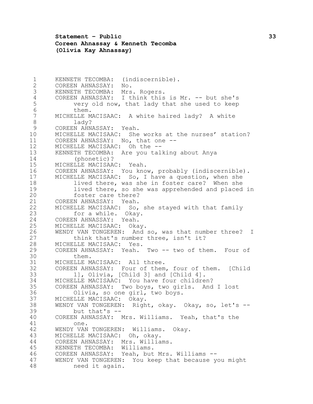**Statement – Public 33 Coreen Ahnassay & Kenneth Tecomba (Olivia Kay Ahnassay)**

 KENNETH TECOMBA: (indiscernible). COREEN AHNASSAY: No. KENNETH TECOMBA: Mrs. Rogers. 4 COREEN AHNASSAY: I think this is Mr. -- but she's<br>5 very old now, that lady that she used to keep very old now, that lady that she used to keep 6 them.<br>7 MICHELLE M MICHELLE MACISAAC: A white haired lady? A white lady? COREEN AHNASSAY: Yeah. MICHELLE MACISAAC: She works at the nurses' station? COREEN AHNASSAY: No, that one -- MICHELLE MACISAAC: Oh the -- KENNETH TECOMBA: Are you talking about Anya (phonetic)? MICHELLE MACISAAC: Yeah. COREEN AHNASSAY: You know, probably (indiscernible). MICHELLE MACISAAC: So, I have a question, when she lived there, was she in foster care? When she lived there, so she was apprehended and placed in foster care there? COREEN AHNASSAY: Yeah. MICHELLE MACISAAC: So, she stayed with that family for a while. Okay. COREEN AHNASSAY: Yeah. MICHELLE MACISAAC: Okay. WENDY VAN TONGEREN: And so, was that number three? I 27 think that's number three, isn't it? MICHELLE MACISAAC: Yes. COREEN AHNASSAY: Yeah. Two -- two of them. Four of them. MICHELLE MACISAAC: All three. COREEN AHNASSAY: Four of them, four of them. [Child 33 1], Olivia, [Child 3] and [Child 4].<br>34 MICHELLE MACISAAC: You have four childre MICHELLE MACISAAC: You have four children? COREEN AHNASSAY: Two boys, two girls. And I lost Olivia, so one girl, two boys. MICHELLE MACISAAC: Okay. WENDY VAN TONGEREN: Right, okay. Okay, so, let's -- but that's -- COREEN AHNASSAY: Mrs. Williams. Yeah, that's the one. WENDY VAN TONGEREN: Williams. Okay. MICHELLE MACISAAC: Oh, okay. COREEN AHNASSAY: Mrs. Williams. KENNETH TECOMBA: Williams. COREEN AHNASSAY: Yeah, but Mrs. Williams -- WENDY VAN TONGEREN: You keep that because you might need it again.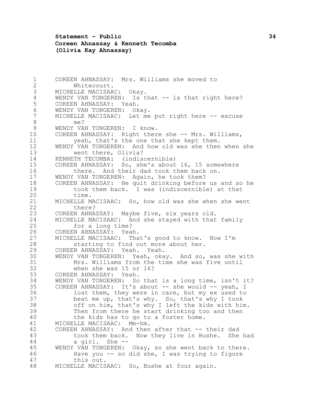**Statement – Public 34 Coreen Ahnassay & Kenneth Tecomba (Olivia Kay Ahnassay)**

 COREEN AHNASSAY: Mrs. Williams she moved to Whitecourt. MICHELLE MACISAAC: Okay. 4 WENDY VAN TONGEREN: Is that -- is that right here?<br>5 COREEN AHNASSAY: Yeah. 5 COREEN AHNASSAY: Yeah.<br>6 WENDY VAN TONGEREN: Ok 6 WENDY VAN TONGEREN: Okay.<br>7 MICHELLE MACISAAC: Let me MICHELLE MACISAAC: Let me put right here -- excuse me? WENDY VAN TONGEREN: I know. COREEN AHNASSAY: Right there she -- Mrs. Williams, yeah, that's the one that she kept them. WENDY VAN TONGEREN: And how old was she then when she went there, Olivia? KENNETH TECOMBA: (indiscernible) COREEN AHNASSAY: So, she's about 16, 15 somewhere there. And their dad took them back on. WENDY VAN TONGEREN: Again, he took them? COREEN AHNASSAY: He quit drinking before us and so he took them back. I was (indiscernible) at that time. 21 MICHELLE MACISAAC: So, how old was she when she went<br>22 there? 22 there?<br>23 COREEN AHNA COREEN AHNASSAY: Maybe five, six years old. MICHELLE MACISAAC: And she stayed with that family for a long time? COREEN AHNASSAY: Yeah. MICHELLE MACISAAC: That's good to know. Now I'm starting to find out more about her. COREEN AHNASSAY: Yeah. Yeah. WENDY VAN TONGEREN: Yeah, okay. And so, was she with Mrs. Williams from the time she was five until when she was 15 or 16? 33 COREEN AHNASSAY: Yeah.<br>34 WENDY VAN TONGEREN: So WENDY VAN TONGEREN: So that is a long time, isn't it? COREEN AHNASSAY: It's about -- she would -- yeah, I lost them, they were in care, but my ex used to beat me up, that's why. So, that's why I took off on him, that's why I left the kids with him. Then from there he start drinking too and then the kids has to go to a foster home. MICHELLE MACISAAC: Mm-hm. COREEN AHNASSAY: And then after that -- their dad took them back. Now they live in Bushe. She had a girl. She -- WENDY VAN TONGEREN: Okay, so she went back to there. Have you -- so did she, I was trying to figure this out. MICHELLE MACISAAC: So, Bushe at four again.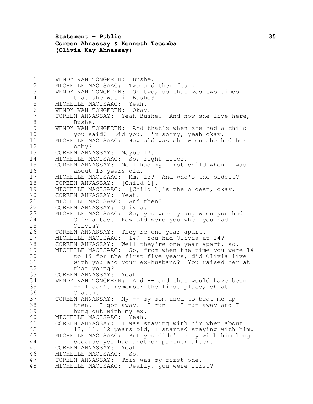**Statement – Public 35 Coreen Ahnassay & Kenneth Tecomba (Olivia Kay Ahnassay)**

 WENDY VAN TONGEREN: Bushe. MICHELLE MACISAAC: Two and then four. WENDY VAN TONGEREN: Oh two, so that was two times 4 that she was in Bushe?<br>5 MICHELLE MACISAAC: Yeah. 5 MICHELLE MACISAAC: Yeah.<br>6 WENDY VAN TONGEREN: Okay WENDY VAN TONGEREN: Okay. COREEN AHNASSAY: Yeah Bushe. And now she live here, Bushe. WENDY VAN TONGEREN: And that's when she had a child you said? Did you, I'm sorry, yeah okay. MICHELLE MACISAAC: How old was she when she had her baby? COREEN AHNASSAY: Maybe 17. MICHELLE MACISAAC: So, right after. COREEN AHNASSAY: Me I had my first child when I was about 13 years old. MICHELLE MACISAAC: Mm, 13? And who's the oldest? COREEN AHNASSAY: [Child 1]. MICHELLE MACISAAC: [Child 1]'s the oldest, okay. COREEN AHNASSAY: Yeah. MICHELLE MACISAAC: And then? COREEN AHNASSAY: Olivia. MICHELLE MACISAAC: So, you were young when you had Olivia too. How old were you when you had Olivia? COREEN AHNASSAY: They're one year apart. MICHELLE MACISAAC: 14? You had Olivia at 14? COREEN AHNASSAY: Well they're one year apart, so. MICHELLE MACISAAC: So, from when the time you were 14 to 19 for the first five years, did Olivia live with you and your ex-husband? You raised her at 32 that young?<br>33 COREEN AHNASSAY: COREEN AHNASSAY: Yeah. WENDY VAN TONGEREN: And -- and that would have been -- I can't remember the first place, oh at Chateh. COREEN AHNASSAY: My -- my mom used to beat me up then. I got away. I run -- I run away and I hung out with my ex. MICHELLE MACISAAC: Yeah. COREEN AHNASSAY: I was staying with him when about 12, 11, 12 years old, I started staying with him. MICHELLE MACISAAC: But you didn't stay with him long because you had another partner after. COREEN AHNASSAY: Yeah. MICHELLE MACISAAC: So. COREEN AHNASSAY: This was my first one. MICHELLE MACISAAC: Really, you were first?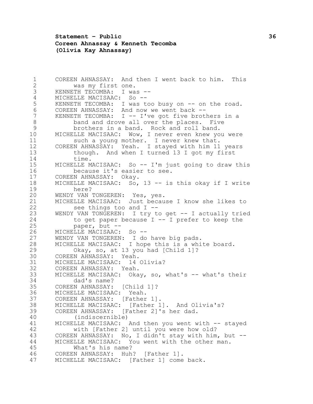**Statement – Public 36 Coreen Ahnassay & Kenneth Tecomba (Olivia Kay Ahnassay)**

 COREEN AHNASSAY: And then I went back to him. This was my first one. KENNETH TECOMBA: I was -- 4 MICHELLE MACISAAC: So --<br>5 KENNETH TECOMBA: I was to 5 KENNETH TECOMBA: I was too busy on -- on the road.<br>6 COREEN AHNASSAY: And now we went back --6 COREEN AHNASSAY: And now we went back --<br>7 KENNETH TECOMBA: I -- I've got five brot KENNETH TECOMBA:  $I$  -- I've got five brothers in a band and drove all over the places. Five brothers in a band. Rock and roll band. MICHELLE MACISAAC: Wow, I never even knew you were 11 such a young mother. I never knew that. COREEN AHNASSAY: Yeah. I stayed with him 11 years though. And when I turned 13 I got my first time. MICHELLE MACISAAC: So -- I'm just going to draw this because it's easier to see. COREEN AHNASSAY: Okay. MICHELLE MACISAAC: So, 13 -- is this okay if I write here? WENDY VAN TONGEREN: Yes, yes. 21 MICHELLE MACISAAC: Just because I know she likes to<br>22 See things too and I --22 see things too and I --<br>23 WENDY VAN TONGEREN: I try t WENDY VAN TONGEREN: I try to get -- I actually tried to get paper because I -- I prefer to keep the paper, but -- MICHELLE MACISAAC: So -- WENDY VAN TONGEREN: I do have big pads. MICHELLE MACISAAC: I hope this is a white board. Okay, so, at 13 you had [Child 1]? COREEN AHNASSAY: Yeah. MICHELLE MACISAAC: 14 Olivia? COREEN AHNASSAY: Yeah. 33 MICHELLE MACISAAC: Okay, so, what's -- what's their<br>34 dad's name? 34 dad's name?<br>35 COREEN AHNASSAY: COREEN AHNASSAY: [Child 1]? MICHELLE MACISAAC: Yeah. COREEN AHNASSAY: [Father 1]. MICHELLE MACISAAC: [Father 1]. And Olivia's? COREEN AHNASSAY: [Father 2]'s her dad. (indiscernible) MICHELLE MACISAAC: And then you went with -- stayed with [Father 2] until you were how old? COREEN AHNASSAY: No, I didn't stay with him, but -- MICHELLE MACISAAC: You went with the other man. What's his name? COREEN AHNASSAY: Huh? [Father 1]. MICHELLE MACISAAC: [Father 1] come back.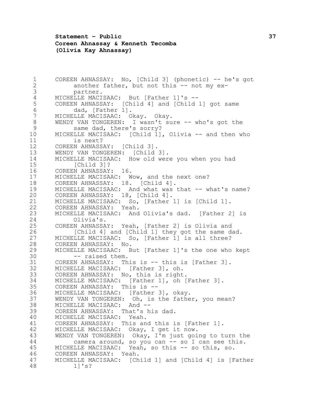**Statement – Public 37 Coreen Ahnassay & Kenneth Tecomba (Olivia Kay Ahnassay)**

1 COREEN AHNASSAY: No, [Child 3] (phonetic) -- he's got<br>2 another father, but not this -- not my exanother father, but not this  $-$  not my ex- partner. 4 MICHELLE MACISAAC: But [Father 1]'s --<br>5 COREEN AHNASSAY: [Child 4] and [Child COREEN AHNASSAY: [Child 4] and [Child 1] got same 6 dad, [Father 1].<br>7 MICHELLE MACISAAC: 0 MICHELLE MACISAAC: Okay. Okay. WENDY VAN TONGEREN: I wasn't sure -- who's got the same dad, there's sorry? MICHELLE MACISAAC: [Child 1], Olivia -- and then who is next? COREEN AHNASSAY: [Child 3]. WENDY VAN TONGEREN: [Child 3]. MICHELLE MACISAAC: How old were you when you had [Child 3]? COREEN AHNASSAY: 16. MICHELLE MACISAAC: Wow, and the next one? COREEN AHNASSAY: 18. [Child 4]. 19 MICHELLE MACISAAC: And what was that -- what's name? COREEN AHNASSAY: 18, [Child 4]. MICHELLE MACISAAC: So, [Father 1] is [Child 1]. COREEN AHNASSAY: Yeah. MICHELLE MACISAAC: And Olivia's dad. [Father 2] is Olivia's. COREEN AHNASSAY: Yeah, [Father 2] is Olivia and [Child 4] and [Child 1] they got the same dad. MICHELLE MACISAAC: So, [Father 1] is all three? COREEN AHNASSAY: No. MICHELLE MACISAAC: But [Father 1]'s the one who kept -- raised them. COREEN AHNASSAY: This is -- this is [Father 3]. MICHELLE MACISAAC: [Father 3], oh. COREEN AHNASSAY: No, this is right. MICHELLE MACISAAC: [Father 1], oh [Father 3]. COREEN AHNASSAY: This is -- MICHELLE MACISAAC: [Father 3], okay. WENDY VAN TONGEREN: Oh, is the father, you mean? MICHELLE MACISAAC: And -- COREEN AHNASSAY: That's his dad. MICHELLE MACISAAC: Yeah. COREEN AHNASSAY: This and this is [Father 1]. MICHELLE MACISAAC: Okay, I get it now. WENDY VAN TONGEREN: Okay, I'm just going to turn the camera around, so you can -- so I can see this. MICHELLE MACISAAC: Yeah, so this -- so this, so. COREEN AHNASSAY: Yeah. MICHELLE MACISAAC: [Child 1] and [Child 4] is [Father 1]'s?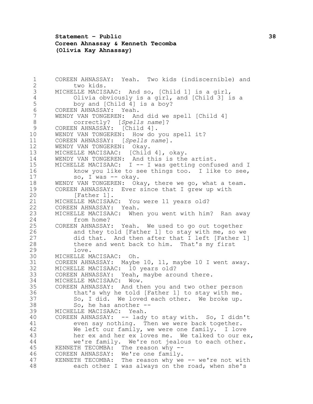**Statement – Public 38 Coreen Ahnassay & Kenneth Tecomba (Olivia Kay Ahnassay)**

 COREEN AHNASSAY: Yeah. Two kids (indiscernible) and two kids. MICHELLE MACISAAC: And so, [Child 1] is a girl, Olivia obviously is a girl, and [Child 3] is a 5 boy and [Child 4] is a boy?<br>6 COREEN AHNASSAY: Yeah. COREEN AHNASSAY: Yeah. WENDY VAN TONGEREN: And did we spell [Child 4] correctly? [*Spells name*]? COREEN AHNASSAY: [Child 4]. WENDY VAN TONGEREN: How do you spell it? COREEN AHNASSAY: [*Spells name*]. WENDY VAN TONGEREN: Okay. MICHELLE MACISAAC: [Child 4], okay. WENDY VAN TONGEREN: And this is the artist. MICHELLE MACISAAC: I -- I was getting confused and I 16 know you like to see things too. I like to see, 17 so, I was -- okay. WENDY VAN TONGEREN: Okay, there we go, what a team. COREEN AHNASSAY: Ever since that I grew up with 20 [Father 1]. 21 MICHELLE MACISAAC: You were 11 years old?<br>22 COREEN AHNASSAY: Yeah. COREEN AHNASSAY: Yeah. MICHELLE MACISAAC: When you went with him? Ran away from home? COREEN AHNASSAY: Yeah. We used to go out together and they told [Father 1] to stay with me, so we did that. And then after that I left [Father 1] there and went back to him. That's my first love. MICHELLE MACISAAC: Oh. COREEN AHNASSAY: Maybe 10, 11, maybe 10 I went away. MICHELLE MACISAAC: 10 years old? 33 COREEN AHNASSAY: Yeah, maybe around there.<br>34 MICHELLE MACISAAC: Wow. MICHELLE MACISAAC: Wow. COREEN AHNASSAY: And then you and two other person that's why he told [Father 1] to stay with me. 37 So, I did. We loved each other. We broke up.<br>38 So, he has another --So, he has another  $-$ - MICHELLE MACISAAC: Yeah. COREEN AHNASSAY: -- lady to stay with. So, I didn't even say nothing. Then we were back together. We left our family, we were one family. I love her ex and her ex loves me. We talked to our ex, we're family. We're not jealous to each other. KENNETH TECOMBA: The reason why -- COREEN AHNASSAY: We're one family. KENNETH TECOMBA: The reason why we -- we're not with each other I was always on the road, when she's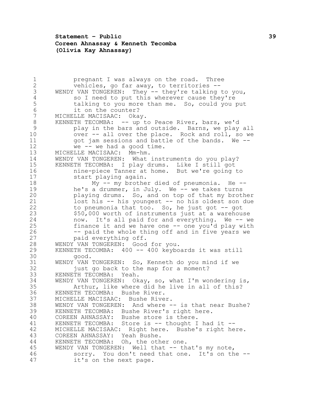**Statement – Public 39 Coreen Ahnassay & Kenneth Tecomba (Olivia Kay Ahnassay)**

**pregnant I was always on the road.** Three<br>2 **provides** and far away, to territories -vehicles, go far away, to territories --3 WENDY VAN TONGEREN: They -- they're talking to you, 4 so I need to put this wherever cause they're<br>5 talking to you more than me. So, could you 5 talking to you more than me. So, could you put<br>6 it on the counter? 6 it on the counter?<br>7 MICHELLE MACISAAC: Oka MICHELLE MACISAAC: Okay. KENNETH TECOMBA: -- up to Peace River, bars, we'd play in the bars and outside. Barns, we play all 10 over -- all over the place. Rock and roll, so we got jam sessions and battle of the bands. We -- we -- we had a good time. MICHELLE MACISAAC: Mm-hm. WENDY VAN TONGEREN: What instruments do you play? KENNETH TECOMBA: I play drums. Like I still got 16 mine-piece Tanner at home. But we're going to<br>17 start playing again. start playing again. My -- my brother died of pneumonia. He -- 19 he's a drummer, in July. We -- we takes turns playing drums. So, and on top of that my brother lost his -- his youngest -- no his oldest son due to pneumonia that too. So, he just got -- got \$50,000 worth of instruments just at a warehouse now. It's all paid for and everything. We -- we finance it and we have one -- one you'd play with -- paid the whole thing off and in five years we paid everything off. WENDY VAN TONGEREN: Good for you. KENNETH TECOMBA: 400 -- 400 keyboards it was still good. WENDY VAN TONGEREN: So, Kenneth do you mind if we 32 just go back to the map for a moment? 33 KENNETH TECOMBA: Yeah.<br>34 WENDY VAN TONGEREN: Ok WENDY VAN TONGEREN: Okay, so, what I'm wondering is, Arthur, like where did he live in all of this? KENNETH TECOMBA: Bushe River. MICHELLE MACISAAC: Bushe River. WENDY VAN TONGEREN: And where -- is that near Bushe? KENNETH TECOMBA: Bushe River's right here. COREEN AHNASSAY: Bushe store is there. 41 KENNETH TECOMBA: Store is -- thought I had it -- MICHELLE MACISAAC: Right here. Bushe's right here. COREEN AHNASSAY: Yeah Bushe. KENNETH TECOMBA: Oh, the other one. WENDY VAN TONGEREN: Well that -- that's my note, sorry. You don't need that one. It's on the -- it's on the next page.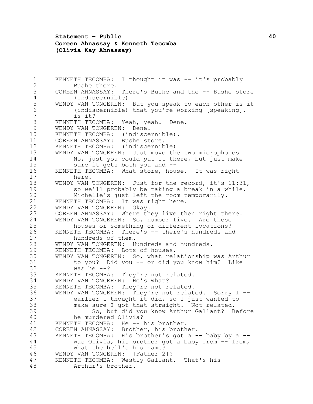**Statement – Public 40 Coreen Ahnassay & Kenneth Tecomba (Olivia Kay Ahnassay)**

 KENNETH TECOMBA: I thought it was -- it's probably Bushe there. COREEN AHNASSAY: There's Bushe and the -- Bushe store 4 (indiscernible)<br>5 WENDY VAN TONGEREN: 5 WENDY VAN TONGEREN: But you speak to each other is it<br>6 (indiscernible) that you're working [speaking], 6 (indiscernible) that you're working [speaking],<br>7 is it? is it? KENNETH TECOMBA: Yeah, yeah. Dene. WENDY VAN TONGEREN: Dene. KENNETH TECOMBA: (indiscernible). COREEN AHNASSAY: Bushe store. KENNETH TECOMBA: (indiscernible) WENDY VAN TONGEREN: Just move the two microphones. No, just you could put it there, but just make sure it gets both you and -- KENNETH TECOMBA: What store, house. It was right here. WENDY VAN TONGEREN: Just for the record, it's 11:31, so we'll probably be taking a break in a while. Michelle's just left the room temporarily. KENNETH TECOMBA: It was right here. 22 WENDY VAN TONGEREN: Okay.<br>23 COREEN AHNASSAY: Where th COREEN AHNASSAY: Where they live then right there. WENDY VAN TONGEREN: So, number five. Are these houses or something or different locations? KENNETH TECOMBA: There's -- there's hundreds and hundreds of them. WENDY VAN TONGEREN: Hundreds and hundreds. KENNETH TECOMBA: Lots of houses. WENDY VAN TONGEREN: So, what relationship was Arthur to you? Did you -- or did you know him? Like was he  $-2$ 33 KENNETH TECOMBA: They're not related.<br>34 WENDY VAN TONGEREN: He's what? WENDY VAN TONGEREN: He's what? KENNETH TECOMBA: They're not related. WENDY VAN TONGEREN: They're not related. Sorry I -- earlier I thought it did, so I just wanted to make sure I got that straight. Not related. So, but did you know Arthur Gallant? Before he murdered Olivia? 41 KENNETH TECOMBA: He -- his brother. COREEN AHNASSAY: Brother, his brother. 43 KENNETH TECOMBA: His brother's got a -- baby by a -- was Olivia, his brother got a baby from -- from, what the hell's his name? WENDY VAN TONGEREN: [Father 2]? KENNETH TECOMBA: Westly Gallant. That's his -- Arthur's brother.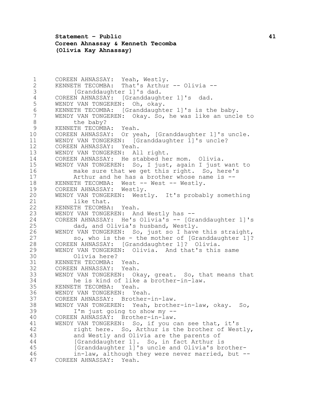**Statement – Public 41 Coreen Ahnassay & Kenneth Tecomba (Olivia Kay Ahnassay)**

1 COREEN AHNASSAY: Yeah, Westly.<br>2 KENNETH TECOMBA: That's Arthur KENNETH TECOMBA: That's Arthur -- Olivia -- [Granddaughter 1]'s dad. 4 COREEN AHNASSAY: [Granddaughter 1]'s dad.<br>5 WENDY VAN TONGEREN: Oh, okay. 5 WENDY VAN TONGEREN: Oh, okay.<br>6 KENNETH TECOMBA: [Granddaught KENNETH TECOMBA: [Granddaughter 1]'s is the baby. WENDY VAN TONGEREN: Okay. So, he was like an uncle to 8 the baby? KENNETH TECOMBA: Yeah. COREEN AHNASSAY: Or yeah, [Granddaughter 1]'s uncle. WENDY VAN TONGEREN: [Granddaughter 1]'s uncle? COREEN AHNASSAY: Yeah. WENDY VAN TONGEREN: All right. COREEN AHNASSAY: He stabbed her mom. Olivia. WENDY VAN TONGEREN: So, I just, again I just want to make sure that we get this right. So, here's Arthur and he has a brother whose name is -- 18 KENNETH TECOMBA: West -- West -- Westly. COREEN AHNASSAY: Westly. WENDY VAN TONGEREN: Westly. It's probably something 21 like that.<br>22 KENNETH TECOMBA 22 KENNETH TECOMBA: Yeah.<br>23 WENDY VAN TONGEREN: An WENDY VAN TONGEREN: And Westly has -- COREEN AHNASSAY: He's Olivia's -- [Granddaughter 1]'s dad, and Olivia's husband, Westly. WENDY VAN TONGEREN: So, just so I have this straight, so, who is the - the mother of [Granddaughter 1]? COREEN AHNASSAY: [Granddaughter 1]? Olivia. WENDY VAN TONGEREN: Olivia. And that's this same Olivia here? KENNETH TECOMBA: Yeah. COREEN AHNASSAY: Yeah. 33 WENDY VAN TONGEREN: Okay, great. So, that means that 34 34 he is kind of like a brother-in-law.<br>35 KENNETH TECOMBA: Yeah. KENNETH TECOMBA: Yeah. WENDY VAN TONGEREN: Yeah. COREEN AHNASSAY: Brother-in-law. WENDY VAN TONGEREN: Yeah, brother-in-law, okay. So, I'm just going to show my -- COREEN AHNASSAY: Brother-in-law. WENDY VAN TONGEREN: So, if you can see that, it's right here. So, Arthur is the brother of Westly, and Westly and Olivia are the parents of 44 [Granddaughter 1]. So, in fact Arthur is [Granddaughter 1]'s uncle and Olivia's brother- in-law, although they were never married, but -- COREEN AHNASSAY: Yeah.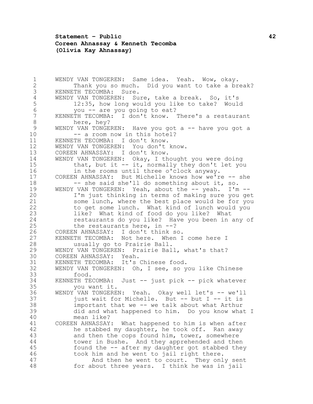## **Statement – Public 42 Coreen Ahnassay & Kenneth Tecomba (Olivia Kay Ahnassay)**

 WENDY VAN TONGEREN: Same idea. Yeah. Wow, okay. Thank you so much. Did you want to take a break? KENNETH TECOMBA: Sure. 4 WENDY VAN TONGEREN: Sure, take a break. So, it's<br>5 12:35, how long would you like to take? Would 5 12:35, how long would you like to take? Would<br>6 you -- are you going to eat? 6 you -- are you going to eat?<br>7 KENNETH TECOMBA: I don't know. KENNETH TECOMBA: I don't know. There's a restaurant here, hey? 9 WENDY VAN TONGEREN: Have you got a -- have you got a 10 -- a room now in this hotel? KENNETH TECOMBA: I don't know. WENDY VAN TONGEREN: You don't know. COREEN AHNASSAY: I don't know. WENDY VAN TONGEREN: Okay, I thought you were doing that, but it -- it, normally they don't let you in the rooms until three o'clock anyway. COREEN AHNASSAY: But Michelle knows how we're -- she -- she said she'll do something about it, so. 19 WENDY VAN TONGEREN: Yeah, about the -- yeah. I'm -- I'm just thinking in terms of making sure you get some lunch, where the best place would be for you to get some lunch. What kind of lunch would you like? What kind of food do you like? What restaurants do you like? Have you been in any of the restaurants here, in --? COREEN AHNASSAY: I don't think so. KENNETH TECOMBA: Not here. When I come here I usually go to Prairie Ball. WENDY VAN TONGEREN: Prairie Ball, what's that? COREEN AHNASSAY: Yeah. KENNETH TECOMBA: It's Chinese food. WENDY VAN TONGEREN: Oh, I see, so you like Chinese 33 food.<br>34 KENNETH TE KENNETH TECOMBA: Just -- just pick -- pick whatever you want it. WENDY VAN TONGEREN: Yeah. Okay well let's -- we'll just wait for Michelle. But -- but I -- it is important that we -- we talk about what Arthur did and what happened to him. Do you know what I mean like? COREEN AHNASSAY: What happened to him is when after he stabbed my daughter, he took off. Ran away and then the cops found him, tower, somewhere tower in Bushe. And they apprehended and then found the -- after my daughter got stabbed they took him and he went to jail right there. And then he went to court. They only sent for about three years. I think he was in jail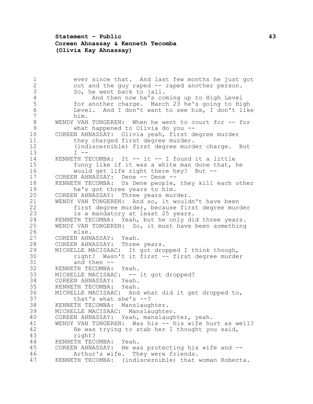## **Statement – Public 43 Coreen Ahnassay & Kenneth Tecomba (Olivia Kay Ahnassay)**

1 ever since that. And last few months he just got<br>2 out and the guy raped -- raped another person. out and the guy raped -- raped another person. So, he went back to jail. 4 And then now he's coming up to High Level<br>5 6 10 10 10 10 10 10 11 10 11 10 11 10 11 10 11 10 11 10 11 10 11 10 11 10 11 10 11 10 11 10 11 10 11 10 11 1 5 for another charge. March 23 he's going to High<br>6 Level. And I don't want to see him, I don't like Level. And I don't want to see him, I don't like him. WENDY VAN TONGEREN: When he went to court for -- for what happened to Olivia do you -- COREEN AHNASSAY: Olivia yeah, first degree murder 11 they charged first degree murder. (indiscernible) first degree murder charge. But I  $-$  KENNETH TECOMBA: It -- it -- I found it a little funny like if it was a white man done that, he would get life right there hey? But -- 17 COREEN AHNASSAY: Dene -- Dene -- KENNETH TECOMBA: Us Dene people, they kill each other he's got three years to him. COREEN AHNASSAY: Three years murder. 21 WENDY VAN TONGEREN: And so, it wouldn't have been<br>22 first degree murder, because first degree mure 22 first degree murder, because first degree murder<br>23 fis a mandatory at least 25 years. is a mandatory at least 25 years. KENNETH TECOMBA: Yeah, but he only did three years. WENDY VAN TONGEREN: So, it must have been something else. COREEN AHNASSAY: Yeah. COREEN AHNASSAY: Three years. MICHELLE MACISAAC: It got dropped I think though, right? Wasn't it first -- first degree murder and then -- KENNETH TECOMBA: Yeah. 33 MICHELLE MACISAAC: -- it got dropped?<br>34 COREEN AHNASSAY: Yeah. 34 COREEN AHNASSAY: Yeah.<br>35 KENNETH TECOMBA: Yeah. KENNETH TECOMBA: Yeah. MICHELLE MACISAAC: And what did it get dropped to, that's what she's --? KENNETH TECOMBA: Manslaughter. MICHELLE MACISAAC: Manslaughter. COREEN AHNASSAY: Yeah, manslaughter, yeah. WENDY VAN TONGEREN: Was his -- his wife hurt as well? He was trying to stab her I thought you said, right? KENNETH TECOMBA: Yeah. COREEN AHNASSAY: He was protecting his wife and -- Arthur's wife. They were friends. KENNETH TECOMBA: (indiscernible) that woman Roberta.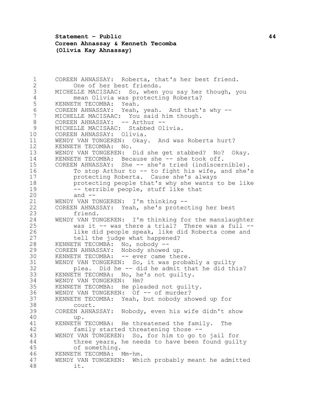**Statement – Public 44 Coreen Ahnassay & Kenneth Tecomba (Olivia Kay Ahnassay)**

 COREEN AHNASSAY: Roberta, that's her best friend. One of her best friends. MICHELLE MACISAAC: So, when you say her though, you 4 mean Olivia was protecting Roberta?<br>5 KENNETH TECOMBA: Yeah. 5 KENNETH TECOMBA: Yeah.<br>6 COREEN AHNASSAY: Yeah, 6 COREEN AHNASSAY: Yeah, yeah. And that's why --<br>7 MICHELLE MACISAAC: You said him though. MICHELLE MACISAAC: You said him though. 8 COREEN AHNASSAY: -- Arthur -- MICHELLE MACISAAC: Stabbed Olivia. COREEN AHNASSAY: Olivia. WENDY VAN TONGEREN: Okay. And was Roberta hurt? KENNETH TECOMBA: No. WENDY VAN TONGEREN: Did she get stabbed? No? Okay. KENNETH TECOMBA: Because she -- she took off. COREEN AHNASSAY: She -- she's tried (indiscernible). 16 To stop Arthur to -- to fight his wife, and she's protecting Roberta. Cause she's always protecting people that's why she wants to be like -- terrible people, stuff like that and -- WENDY VAN TONGEREN: I'm thinking -- COREEN AHNASSAY: Yeah, she's protecting her best friend. WENDY VAN TONGEREN: I'm thinking for the manslaughter was it -- was there a trial? There was a full -- like did people speak, like did Roberta come and 27 tell the judge what happened? KENNETH TECOMBA: No, nobody -- COREEN AHNASSAY: Nobody showed up. 30 KENNETH TECOMBA: -- ever came there. WENDY VAN TONGEREN: So, it was probably a guilty plea. Did he -- did he admit that he did this? 33 KENNETH TECOMBA: No, he's not guilty.<br>34 WENDY VAN TONGEREN: Hm? WENDY VAN TONGEREN: Hm? KENNETH TECOMBA: He pleaded not guilty. 36 WENDY VAN TONGEREN: Of -- of murder? KENNETH TECOMBA: Yeah, but nobody showed up for court. COREEN AHNASSAY: Nobody, even his wife didn't show up. KENNETH TECOMBA: He threatened the family. The family started threatening those -- WENDY VAN TONGEREN: So, for him to go to jail for three years, he needs to have been found guilty of something. KENNETH TECOMBA: Mm-hm. WENDY VAN TONGEREN: Which probably meant he admitted it.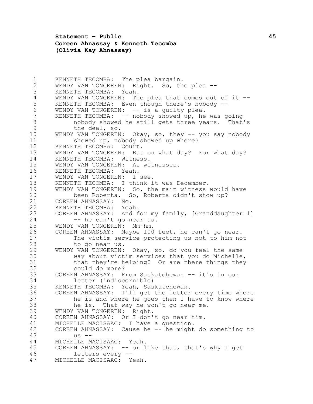**Statement – Public 45 Coreen Ahnassay & Kenneth Tecomba (Olivia Kay Ahnassay)**

 KENNETH TECOMBA: The plea bargain. WENDY VAN TONGEREN: Right. So, the plea -- KENNETH TECOMBA: Yeah. 4 WENDY VAN TONGEREN: The plea that comes out of it --<br>5 KENNETH TECOMBA: Even though there's nobody --5 KENNETH TECOMBA: Even though there's nobody --<br>6 WENDY VAN TONGEREN: -- is a quilty plea. WENDY VAN TONGEREN: -- is a guilty plea. KENNETH TECOMBA:  $--$  nobody showed up, he was going nobody showed he still gets three years. That's the deal, so. WENDY VAN TONGEREN: Okay, so, they -- you say nobody showed up, nobody showed up where? KENNETH TECOMBA: Court. WENDY VAN TONGEREN: But on what day? For what day? KENNETH TECOMBA: Witness. WENDY VAN TONGEREN: As witnesses. KENNETH TECOMBA: Yeah. WENDY VAN TONGEREN: I see. KENNETH TECOMBA: I think it was December. WENDY VAN TONGEREN: So, the main witness would have been Roberta. So, Roberta didn't show up? 21 COREEN AHNASSAY: No.<br>22 KENNETH TECOMBA: Yeal 22 KENNETH TECOMBA: Yeah.<br>23 COREEN AHNASSAY: And f COREEN AHNASSAY: And for my family, [Granddaughter 1] 24 -- he can't go near us. WENDY VAN TONGEREN: Mm-hm. COREEN AHNASSAY: Maybe 100 feet, he can't go near. The victim service protecting us not to him not to go near us. WENDY VAN TONGEREN: Okay, so, do you feel the same way about victim services that you do Michelle, that they're helping? Or are there things they could do more? COREEN AHNASSAY: From Saskatchewan -- it's in our letter (indiscernible) KENNETH TECOMBA: Yeah, Saskatchewan. COREEN AHNASSAY: I'll get the letter every time where he is and where he goes then I have to know where he is. That way he won't go near me. WENDY VAN TONGEREN: Right. COREEN AHNASSAY: Or I don't go near him. MICHELLE MACISAAC: I have a question. COREEN AHNASSAY: Cause he -- he might do something to us -- MICHELLE MACISAAC: Yeah. COREEN AHNASSAY: -- or like that, that's why I get letters every -- MICHELLE MACISAAC: Yeah.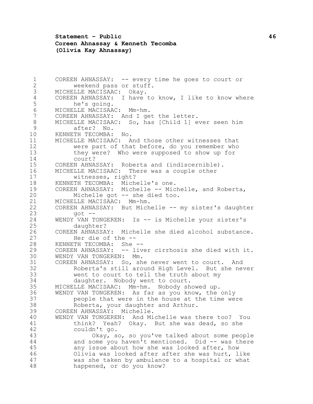**Statement – Public 46 Coreen Ahnassay & Kenneth Tecomba (Olivia Kay Ahnassay)**

 COREEN AHNASSAY: -- every time he goes to court or weekend pass or stuff. MICHELLE MACISAAC: Okay. 4 COREEN AHNASSAY: I have to know, I like to know where<br>5 he's going. 5 he's going.<br>6 MICHELLE MACISAA MICHELLE MACISAAC: Mm-hm. COREEN AHNASSAY: And I get the letter. MICHELLE MACISAAC: So, has [Child 1] ever seen him after? No. KENNETH TECOMBA: No. MICHELLE MACISAAC: And those other witnesses that were part of that before, do you remember who they were? Who were supposed to show up for court? COREEN AHNASSAY: Roberta and (indiscernible). MICHELLE MACISAAC: There was a couple other witnesses, right? KENNETH TECOMBA: Michelle's one. COREEN AHNASSAY: Michelle -- Michelle, and Roberta, Michelle got -- she died too. 21 MICHELLE MACISAAC: Mm-hm.<br>22 COREEN AHNASSAY: But Mich 22 COREEN AHNASSAY: But Michelle -- my sister's daughter<br>23 day of - $qot$  -- WENDY VAN TONGEREN: Is -- is Michelle your sister's daughter? COREEN AHNASSAY: Michelle she died alcohol substance. Her die of the -- KENNETH TECOMBA: She -- COREEN AHNASSAY: -- liver cirrhosis she died with it. WENDY VAN TONGEREN: Mm. COREEN AHNASSAY: So, she never went to court. And Roberta's still around High Level. But she never 33 went to court to tell the truth about my<br>34 daughter. Nobody went to court. daughter. Nobody went to court. MICHELLE MACISAAC: Mm-hm. Nobody showed up. WENDY VAN TONGEREN: As far as you know, the only people that were in the house at the time were Roberta, your daughter and Arthur. COREEN AHNASSAY: Michelle. WENDY VAN TONGEREN: And Michelle was there too? You think? Yeah? Okay. But she was dead, so she couldn't go. Okay, so, so you've talked about some people and some you haven't mentioned. Did -- was there any issue about how she was looked after, how Olivia was looked after after she was hurt, like was she taken by ambulance to a hospital or what happened, or do you know?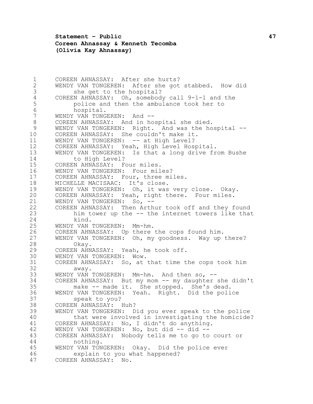**Statement – Public 47 Coreen Ahnassay & Kenneth Tecomba (Olivia Kay Ahnassay)**

 COREEN AHNASSAY: After she hurts? WENDY VAN TONGEREN: After she got stabbed. How did she get to the hospital? 4 COREEN AHNASSAY: Oh, somebody call 9-1-1 and the<br>5 police and then the ambulance took her to 5 police and then the ambulance took her to<br>6 hospital. 6 hospital.<br>7 WENDY VAN TONG WENDY VAN TONGEREN: And -- COREEN AHNASSAY: And in hospital she died. WENDY VAN TONGEREN: Right. And was the hospital -- COREEN AHNASSAY: She couldn't make it. 11 WENDY VAN TONGEREN: -- at High Level? COREEN AHNASSAY: Yeah, High Level Hospital. WENDY VAN TONGEREN: Is that a long drive from Bushe to High Level? COREEN AHNASSAY: Four miles. WENDY VAN TONGEREN: Four miles? COREEN AHNASSAY: Four, three miles. MICHELLE MACISAAC: It's close. WENDY VAN TONGEREN: Oh, it was very close. Okay. COREEN AHNASSAY: Yeah, right there. Four miles. 21 WENDY VAN TONGEREN: So, -- COREEN AHNASSAY: Then Arthur took off and they found him tower up the -- the internet towers like that kind. WENDY VAN TONGEREN: Mm-hm. COREEN AHNASSAY: Up there the cops found him. WENDY VAN TONGEREN: Oh, my goodness. Way up there? 28 Okay.<br>29 COREEN AHN. COREEN AHNASSAY: Yeah, he took off. WENDY VAN TONGEREN: Wow. COREEN AHNASSAY: So, at that time the cops took him away. 33 WENDY VAN TONGEREN: Mm-hm. And then so, --<br>34 COREEN AHNASSAY: But my mom -- my daughter 34 COREEN AHNASSAY: But my mom -- my daughter she didn't<br>35 make -- made it. She stopped. She's dead. make -- made it. She stopped. She's dead. WENDY VAN TONGEREN: Yeah. Right. Did the police speak to you? COREEN AHNASSAY: Huh? WENDY VAN TONGEREN: Did you ever speak to the police that were involved in investigating the homicide? COREEN AHNASSAY: No, I didn't do anything. WENDY VAN TONGEREN: No, but did -- did -- COREEN AHNASSAY: Nobody tells me to go to court or nothing. WENDY VAN TONGEREN: Okay. Did the police ever explain to you what happened? COREEN AHNASSAY: No.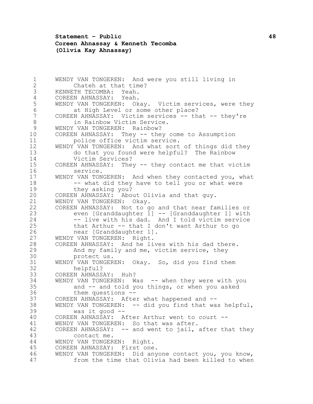**Statement – Public 48 Coreen Ahnassay & Kenneth Tecomba (Olivia Kay Ahnassay)**

 WENDY VAN TONGEREN: And were you still living in Chateh at that time? KENNETH TECOMBA: Yeah. 4 COREEN AHNASSAY: Yeah.<br>5 WENDY VAN TONGEREN: Ok 5 WENDY VAN TONGEREN: Okay. Victim services, were they<br>6 at High Level or some other place? 6 at High Level or some other place?<br>7 COREEN AHNASSAY: Victim services -- tha COREEN AHNASSAY: Victim services -- that -- they're in Rainbow Victim Service. WENDY VAN TONGEREN: Rainbow? COREEN AHNASSAY: They -- they come to Assumption police office victim service. WENDY VAN TONGEREN: And what sort of things did they do that you found were helpful? The Rainbow Victim Services? COREEN AHNASSAY: They -- they contact me that victim service. WENDY VAN TONGEREN: And when they contacted you, what 18 -- what did they have to tell you or what were they asking you? COREEN AHNASSAY: About Olivia and that guy. WENDY VAN TONGEREN: Okay. 22 COREEN AHNASSAY: Not to go and that near families or<br>23 even [Granddaughter 1] -- [Granddaughter 1] with even [Granddaughter 1] -- [Granddaughter 1] with -- live with his dad. And I told victim service that Arthur -- that I don't want Arthur to go near [Granddaughter 1]. WENDY VAN TONGEREN: Right. COREEN AHNASSAY: And he lives with his dad there. And my family and me, victim service, they protect us. WENDY VAN TONGEREN: Okay. So, did you find them helpful? 33 COREEN AHNASSAY: Huh?<br>34 WENDY VAN TONGEREN: W 34 WENDY VAN TONGEREN: Was -- when they were with you<br>35 and -- and told you things, or when you asked and  $-$  and told you things, or when you asked them questions -- COREEN AHNASSAY: After what happened and -- WENDY VAN TONGEREN: -- did you find that was helpful, was it good -- COREEN AHNASSAY: After Arthur went to court -- WENDY VAN TONGEREN: So that was after. COREEN AHNASSAY: -- and went to jail, after that they contact me. WENDY VAN TONGEREN: Right. COREEN AHNASSAY: First one. WENDY VAN TONGEREN: Did anyone contact you, you know, from the time that Olivia had been killed to when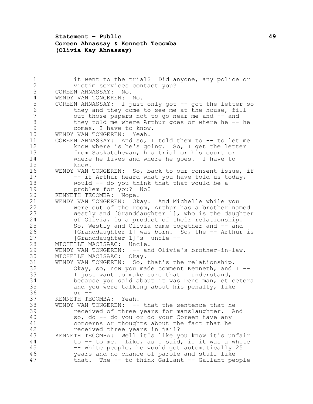## **Statement – Public 49 Coreen Ahnassay & Kenneth Tecomba (Olivia Kay Ahnassay)**

 it went to the trial? Did anyone, any police or victim services contact you? COREEN AHNASSAY: No. 4 WENDY VAN TONGEREN: No.<br>5 COREEN AHNASSAY: I just 5 COREEN AHNASSAY: I just only got -- got the letter so<br>6 they and they come to see me at the house, fill 6 they and they come to see me at the house, fill<br>7 out those papers not to go near me and -- and out those papers not to go near me and -- and 8 they told me where Arthur goes or where he -- he comes, I have to know. WENDY VAN TONGEREN: Yeah. COREEN AHNASSAY: And so, I told them to -- to let me know where is he's going. So, I get the letter from Saskatchewan, his trial or his court or where he lives and where he goes. I have to know. WENDY VAN TONGEREN: So, back to our consent issue, if 17 -- if Arthur heard what you have told us today, would -- do you think that that would be a problem for you? No? KENNETH TECOMBA: Nope. WENDY VAN TONGEREN: Okay. And Michelle while you 22 were out of the room, Arthur has a brother named Westly and [Granddaughter 1], who is the daughter of Olivia, is a product of their relationship. So, Westly and Olivia came together and -- and 26 [Granddaughter 1] was born. So, the -- Arthur is 27 [Granddaughter 1]'s uncle -- MICHELLE MACISAAC: Uncle. WENDY VAN TONGEREN: -- and Olivia's brother-in-law. MICHELLE MACISAAC: Okay. WENDY VAN TONGEREN: So, that's the relationship. Okay, so, now you made comment Kenneth, and I -- 33 I just want to make sure that I understand,<br>34 because you said about it was Dene man, et because you said about it was Dene man, et cetera and you were talking about his penalty, like  $36 \quad \text{or} \quad -\frac{1}{2}$  KENNETH TECOMBA: Yeah. WENDY VAN TONGEREN: -- that the sentence that he received of three years for manslaughter. And so, do -- do you or do your Coreen have any concerns or thoughts about the fact that he received three years in jail? KENNETH TECOMBA: Well it's like you know it's unfair to -- to me. Like, as I said, if it was a white -- white people, he would get automatically 25 years and no chance of parole and stuff like that. The -- to think Gallant -- Gallant people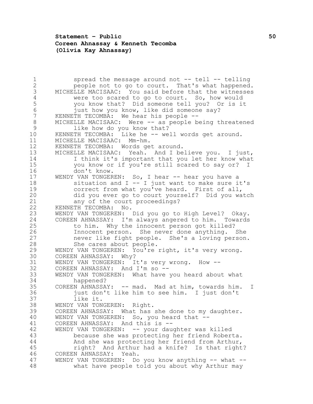## **Statement – Public 50 Coreen Ahnassay & Kenneth Tecomba (Olivia Kay Ahnassay)**

1 spread the message around not -- tell -- telling<br>2 beople not to go to court. That's what happened people not to go to court. That's what happened. MICHELLE MACISAAC: You said before that the witnesses 4 were too scared to go to court. So, how would<br>5 you know that? Did someone tell you? Or is it 5 you know that? Did someone tell you? Or is it<br>6 iust how you know, like did someone say? 6 just how you know, like did someone say?<br>7 KENNETH TECOMBA: We hear his people --KENNETH TECOMBA: We hear his people -- MICHELLE MACISAAC: Were -- as people being threatened like how do you know that? KENNETH TECOMBA: Like he -- well words get around. MICHELLE MACISAAC: Mm-hm. KENNETH TECOMBA: Words get around. MICHELLE MACISAAC: Yeah. And I believe you. I just, I think it's important that you let her know what you know or if you're still scared to say or? I don't know. WENDY VAN TONGEREN: So, I hear -- hear you have a **Southern Europe and I** -- I just want to make sure it's correct from what you've heard. First of all, did you ever go to court yourself? Did you watch 21 any of the court proceedings?<br>22 KENNETH TECOMBA: No. KENNETH TECOMBA: No. WENDY VAN TONGEREN: Did you go to High Level? Okay. COREEN AHNASSAY: I'm always angered to him. Towards to him. Why the innocent person got killed? Innocent person. She never done anything. She never like fight people. She's a loving person. She cares about people. WENDY VAN TONGEREN: You're right, it's very wrong. COREEN AHNASSAY: Why? WENDY VAN TONGEREN: It's very wrong. How -- COREEN AHNASSAY: And I'm so -- 33 WENDY VAN TONGEREN: What have you heard about what 34 34 happened?<br>35 COREEN AHNASSA COREEN AHNASSAY: -- mad. Mad at him, towards him. I just don't like him to see him. I just don't like it. WENDY VAN TONGEREN: Right. COREEN AHNASSAY: What has she done to my daughter. WENDY VAN TONGEREN: So, you heard that -- COREEN AHNASSAY: And this is -- WENDY VAN TONGEREN: -- your daughter was killed because she was protecting her friend Roberta. And she was protecting her friend from Arthur, right? And Arthur had a knife? Is that right? COREEN AHNASSAY: Yeah. WENDY VAN TONGEREN: Do you know anything -- what -- what have people told you about why Arthur may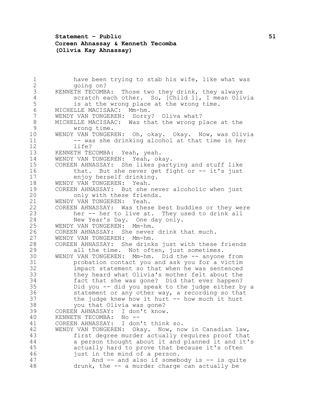## **Statement – Public 51 Coreen Ahnassay & Kenneth Tecomba (Olivia Kay Ahnassay)**

1 have been trying to stab his wife, like what was<br>2 aoing on? going on? KENNETH TECOMBA: Those two they drink, they always 4 scratch each other. So, [Child 1], I mean Olivia<br>5 is at the wrong place at the wrong time. 5 is at the wrong place at the wrong time.<br>6 MICHELLE MACISAAC: Mm-hm. MICHELLE MACISAAC: Mm-hm. WENDY VAN TONGEREN: Sorry? Oliva what? MICHELLE MACISAAC: Was that the wrong place at the wrong time. WENDY VAN TONGEREN: Oh, okay. Okay. Now, was Olivia -- was she drinking alcohol at that time in her life? KENNETH TECOMBA: Yeah, yeah. WENDY VAN TONGEREN: Yeah, okay. COREEN AHNASSAY: She likes partying and stuff like 16 that. But she never get fight or -- it's just 17 enjoy herself drinking.<br>18 WENDY VAN TONGEREN: Yeah. WENDY VAN TONGEREN: Yeah. COREEN AHNASSAY: But she never alcoholic when just 20 only with these friends. 21 WENDY VAN TONGEREN: Yeah.<br>22 COREEN AHNASSAY: Was thes 22 COREEN AHNASSAY: Was these best buddies or they were<br>23 her -- her to live at. They used to drink all her -- her to live at. They used to drink all New Year's Day. One day only. WENDY VAN TONGEREN: Mm-hm. COREEN AHNASSAY: She never drink that much. WENDY VAN TONGEREN: Mm-hm. COREEN AHNASSAY: She drinks just with these friends all the time. Not often, just sometimes. WENDY VAN TONGEREN: Mm-hm. Did the -- anyone from probation contact you and ask you for a victim impact statement so that when he was sentenced 33 they heard what Olivia's mother felt about the<br>34 fact that she was gone? Did that ever happen? fact that she was gone? Did that ever happen? Did you -- did you speak to the judge either by a statement or any other way, a recording so that the judge knew how it hurt -- how much it hurt you that Olivia was gone? COREEN AHNASSAY: I don't know. KENNETH TECOMBA: No -- COREEN AHNASSAY: I don't think so. WENDY VAN TONGEREN: Okay. Now, now in Canadian law, first degree murder actually requires proof that a person thought about it and planned it and it's actually hard to prove that because it's often just in the mind of a person. And -- and also if somebody is -- is quite drunk, the -- a murder charge can actually be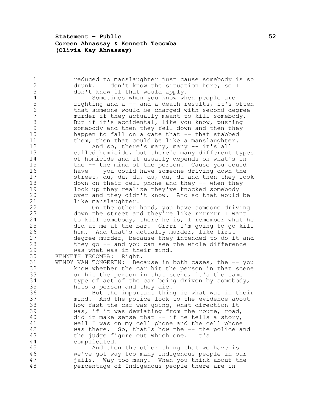**Statement – Public 52 Coreen Ahnassay & Kenneth Tecomba (Olivia Kay Ahnassay)**

1 1 reduced to manslaughter just cause somebody is so<br>2 3 drunk. I don't know the situation here, so I drunk. I don't know the situation here, so I don't know if that would apply. 4 Sometimes when you know when people are<br>5 fighting and a -- and a death results, it's 5 fighting and a -- and a death results, it's often<br>6 that someone would be charged with second degree that someone would be charged with second degree murder if they actually meant to kill somebody. 8 But if it's accidental, like you know, pushing somebody and then they fell down and then they happen to fall on a gate that -- that stabbed them, then that could be like a manslaughter. And so, there's many, many -- it's all called homicide, but there's many different types of homicide and it usually depends on what's in the -- the mind of the person. Cause you could have -- you could have someone driving down the street, du, du, du, du, du, du and then they look down on their cell phone and they -- when they look up they realize they've knocked somebody over and they didn't know. And so that would be 21 like manslaughter.<br>22 On the other On the other hand, you have someone driving down the street and they're like rrrrrrr I want to kill somebody, there he is, I remember what he did at me at the bar. Grrrr I'm going to go kill him. And that's actually murder, like first degree murder, because they intended to do it and they go -- and you can see the whole difference was what was in their mind. KENNETH TECOMBA: Right. WENDY VAN TONGEREN: Because in both cases, the -- you know whether the car hit the person in that scene or hit the person in that scene, it's the same type of act of the car being driven by somebody, hits a person and they die. But the important thing is what was in their mind. And the police look to the evidence about how fast the car was going, what direction it was, if it was deviating from the route, road, did it make sense that -- if he tells a story, well I was on my cell phone and the cell phone was there. So, that's how the -- the police and the judge figure out which one. It's complicated. And then the other thing that we have is we've got way too many Indigenous people in our jails. Way too many. When you think about the percentage of Indigenous people there are in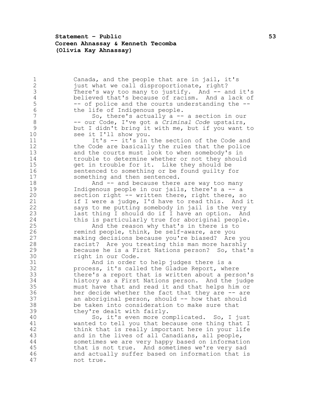**Statement – Public 53 Coreen Ahnassay & Kenneth Tecomba (Olivia Kay Ahnassay)**

1 Canada, and the people that are in jail, it's<br>2 iust what we call disproportionate, right? just what we call disproportionate, right? There's way too many to justify. And -- and it's 4 believed that's because of racism. And a lack of<br>5 -- of police and the courts understanding the --5 -- of police and the courts understanding the --<br>6 the life of Indigenous people. 6 the life of Indigenous people.<br>7 So, there's actually a --So, there's actually  $a$  -- a section in our -- our Code, I've got a *Criminal Code* upstairs, but I didn't bring it with me, but if you want to 10 see it I'll show you. 11 It's -- it's in the section of the Code and the Code are basically the rules that the police and the courts must look to when somebody's in trouble to determine whether or not they should get in trouble for it. Like they should be sentenced to something or be found guilty for something and then sentenced. **And -- and because there are way too many**  Indigenous people in our jails, there's a -- a section right -- written there, right there, so 21 if I were a judge, I'd have to read this. And it says to me putting somebody in jail is the very last thing I should do if I have an option. And this is particularly true for aboriginal people. And the reason why that's in there is to remind people, think, be self-aware, are you making decisions because you're biased? Are you racist? Are you treating this man more harshly because he is a First Nations person? So, that's right in our Code. And in order to help judges there is a process, it's called the Gladue Report, where 33 there's a report that is written about a person's<br>34 history as a First Nations person. And the judge history as a First Nations person. And the judge must have that and read it and that helps him or her decide whether the fact that they are -- are an aboriginal person, should -- how that should be taken into consideration to make sure that they're dealt with fairly. So, it's even more complicated. So, I just wanted to tell you that because one thing that I think that is really important here in your life and in the lives of all Canadians, all people, sometimes we are very happy based on information that is not true. And sometimes we're very sad and actually suffer based on information that is not true.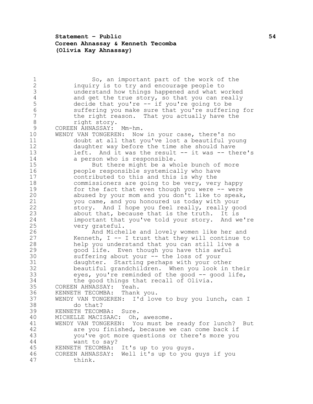# **Statement – Public 54 Coreen Ahnassay & Kenneth Tecomba (Olivia Kay Ahnassay)**

| 1            | So, an important part of the work of the             |
|--------------|------------------------------------------------------|
| $\mathbf{2}$ | inquiry is to try and encourage people to            |
| 3            | understand how things happened and what worked       |
| 4            | and get the true story, so that you can really       |
| 5            |                                                      |
|              | decide that you're -- if you're going to be          |
| $\sqrt{6}$   | suffering you make sure that you're suffering for    |
| 7            | the right reason. That you actually have the         |
| 8            | right story.                                         |
| 9            | COREEN AHNASSAY: Mm-hm.                              |
| 10           | WENDY VAN TONGEREN: Now in your case, there's no     |
| 11           |                                                      |
|              | doubt at all that you've lost a beautiful young      |
| 12           | daughter way before the time she should have         |
| 13           | left. And it was the result -- it was -- there's     |
| 14           | a person who is responsible.                         |
| 15           | But there might be a whole bunch of more             |
| 16           | people responsible systemically who have             |
| 17           | contributed to this and this is why the              |
| 18           |                                                      |
|              | commissioners are going to be very, very happy       |
| 19           | for the fact that even though you were -- were       |
| 20           | abused by your mom and you don't like to speak,      |
| 21           | you came, and you honoured us today with your        |
| 22           | story. And I hope you feel really, really good       |
| 23           | about that, because that is the truth. It is         |
| 24           | important that you've told your story. And we're     |
| 25           |                                                      |
|              | very grateful.                                       |
| 26           | And Michelle and lovely women like her and           |
| 27           | Kenneth, $I - I$ trust that they will continue to    |
| 28           | help you understand that you can still live a        |
| 29           | good life. Even though you have this awful           |
| 30           | suffering about your -- the loss of your             |
| 31           | daughter. Starting perhaps with your other           |
| 32           | beautiful grandchildren. When you look in their      |
|              |                                                      |
| 33           | eyes, you're reminded of the good -- good life,      |
| 34           | the good things that recall of Olivia.               |
| 35           | COREEN AHNASSAY: Yeah.                               |
| 36           | KENNETH TECOMBA: Thank you.                          |
| 37           | WENDY VAN TONGEREN: I'd love to buy you lunch, can I |
| 38           | do that?                                             |
| 39           | KENNETH TECOMBA:<br>Sure.                            |
| 40           |                                                      |
|              | MICHELLE MACISAAC:<br>Oh, awesome.                   |
| 41           | WENDY VAN TONGEREN: You must be ready for lunch? But |
| 42           | are you finished, because we can come back if        |
| 43           | you've got more questions or there's more you        |
| 44           | want to say?                                         |
| 45           | KENNETH TECOMBA:<br>It's up to you guys.             |
| 46           | COREEN AHNASSAY: Well it's up to you guys if you     |
| 47           |                                                      |
|              | think.                                               |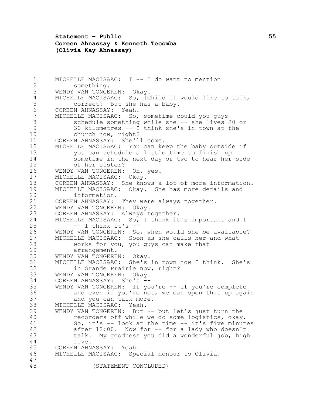**Statement – Public 55 Coreen Ahnassay & Kenneth Tecomba (Olivia Kay Ahnassay)**

 MICHELLE MACISAAC: I -- I do want to mention something. WENDY VAN TONGEREN: Okay. 4 MICHELLE MACISAAC: So, [Child 1] would like to talk,<br>5 correct? But she has a baby. 5 correct? But she has a baby.<br>6 COREEN AHNASSAY: Yeah. 6 COREEN AHNASSAY: Yeah.<br>7 MICHELLE MACISAAC: So, MICHELLE MACISAAC: So, sometime could you guys schedule something while she -- she lives 20 or 30 kilometres -- I think she's in town at the church now, right? COREEN AHNASSAY: She'll come. MICHELLE MACISAAC: You can keep the baby outside if you can schedule a little time to finish up sometime in the next day or two to hear her side of her sister? WENDY VAN TONGEREN: Oh, yes. MICHELLE MACISAAC: Okay. COREEN AHNASSAY: She knows a lot of more information. MICHELLE MACISAAC: Okay. She has more details and information. 21 COREEN AHNASSAY: They were always together.<br>22 WENDY VAN TONGEREN: Okav. 22 WENDY VAN TONGEREN: Okay.<br>23 COREEN AHNASSAY: Always t COREEN AHNASSAY: Always together. MICHELLE MACISAAC: So, I think it's important and I -- I think it's -- WENDY VAN TONGEREN: So, when would she be available? MICHELLE MACISAAC: Soon as she calls her and what works for you, you guys can make that arrangement. WENDY VAN TONGEREN: Okay. MICHELLE MACISAAC: She's in town now I think. She's in Grande Prairie now, right? 33 WENDY VAN TONGEREN: Okay.<br>34 COREEN AHNASSAY: She's --COREEN AHNASSAY: She's -- WENDY VAN TONGEREN: If you're -- if you're complete and even if you're not, we can open this up again and you can talk more. MICHELLE MACISAAC: Yeah. WENDY VAN TONGEREN: But -- but let's just turn the recorders off while we do some logistics, okay. So, it's -- look at the time -- it's five minutes after 12:00. Now for -- for a lady who doesn't talk. My goodness you did a wonderful job, high five. COREEN AHNASSAY: Yeah. MICHELLE MACISAAC: Special honour to Olivia. (STATEMENT CONCLUDED)